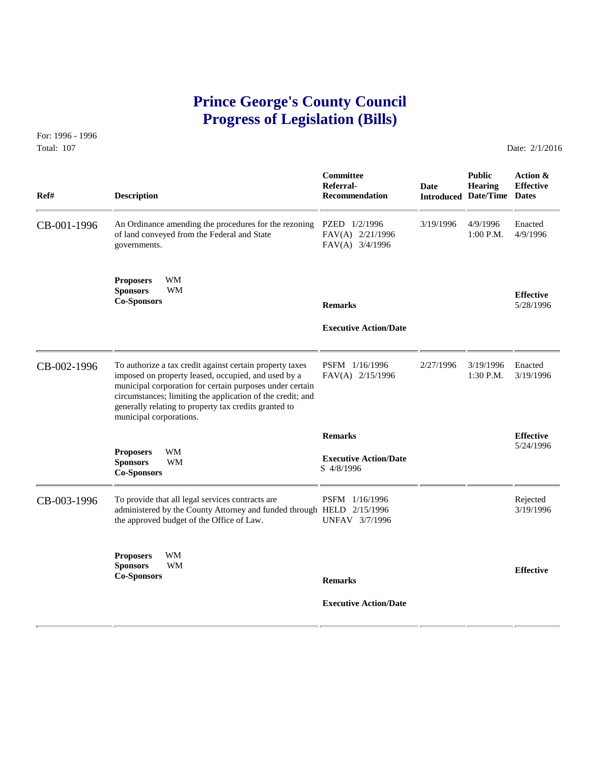# **Prince George's County Council Progress of Legislation (Bills)**

For: 1996 - 1996 Total: 107 Date: 2/1/2016

| Ref#        | <b>Description</b>                                                                                                                                                                                                                                                                                                            | Committee<br>Referral-<br><b>Recommendation</b>              | <b>Date</b> | <b>Public</b><br>Hearing<br><b>Introduced Date/Time Dates</b> | Action &<br><b>Effective</b>  |
|-------------|-------------------------------------------------------------------------------------------------------------------------------------------------------------------------------------------------------------------------------------------------------------------------------------------------------------------------------|--------------------------------------------------------------|-------------|---------------------------------------------------------------|-------------------------------|
| CB-001-1996 | An Ordinance amending the procedures for the rezoning<br>of land conveyed from the Federal and State<br>governments.                                                                                                                                                                                                          | PZED 1/2/1996<br>FAV(A) 2/21/1996<br>FAV(A) 3/4/1996         | 3/19/1996   | 4/9/1996<br>$1:00$ P.M.                                       | Enacted<br>4/9/1996           |
|             | <b>Proposers</b><br>WМ<br><b>WM</b><br><b>Sponsors</b><br><b>Co-Sponsors</b>                                                                                                                                                                                                                                                  | <b>Remarks</b><br><b>Executive Action/Date</b>               |             |                                                               | <b>Effective</b><br>5/28/1996 |
| CB-002-1996 | To authorize a tax credit against certain property taxes<br>imposed on property leased, occupied, and used by a<br>municipal corporation for certain purposes under certain<br>circumstances; limiting the application of the credit; and<br>generally relating to property tax credits granted to<br>municipal corporations. | PSFM 1/16/1996<br>FAV(A) 2/15/1996                           | 2/27/1996   | 3/19/1996<br>$1:30$ P.M.                                      | Enacted<br>3/19/1996          |
|             | WM<br><b>Proposers</b><br><b>Sponsors</b><br>WM<br><b>Co-Sponsors</b>                                                                                                                                                                                                                                                         | <b>Remarks</b><br><b>Executive Action/Date</b><br>S 4/8/1996 |             |                                                               | <b>Effective</b><br>5/24/1996 |
| CB-003-1996 | To provide that all legal services contracts are<br>administered by the County Attorney and funded through HELD 2/15/1996<br>the approved budget of the Office of Law.                                                                                                                                                        | PSFM 1/16/1996<br>UNFAV 3/7/1996                             |             |                                                               | Rejected<br>3/19/1996         |
|             | <b>Proposers</b><br>WМ<br><b>WM</b><br><b>Sponsors</b><br><b>Co-Sponsors</b>                                                                                                                                                                                                                                                  | <b>Remarks</b>                                               |             |                                                               | <b>Effective</b>              |
|             |                                                                                                                                                                                                                                                                                                                               | <b>Executive Action/Date</b>                                 |             |                                                               |                               |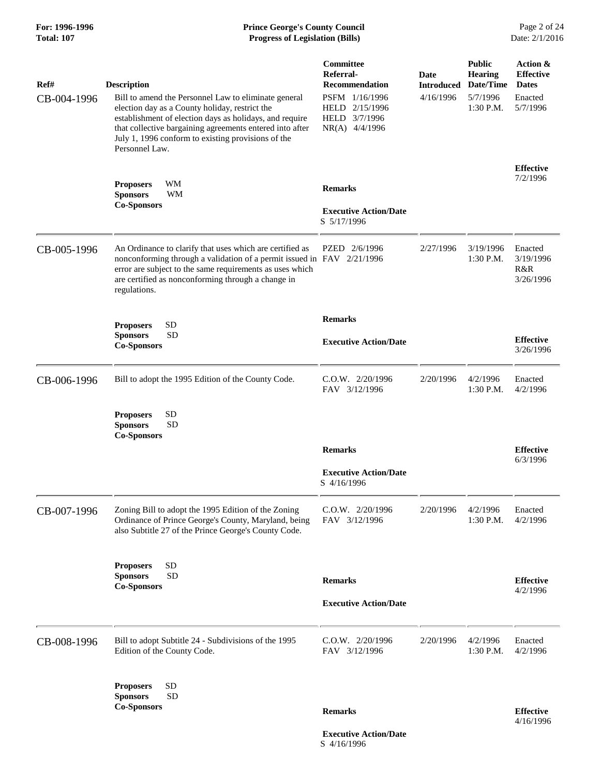# **For: 1996-1996 Prince George's County Council** Page 2 of 24<br> **Prince George's County Council** Page 2 of 24<br> **Progress of Legislation (Bills)** Date: 2/1/2016 **Progress of Legislation (Bills)**

| Ref#        | <b>Description</b>                                                                                                                                                                                                                                                                                    | Committee<br>Referral-<br><b>Recommendation</b>                     | Date<br><b>Introduced</b> | <b>Public</b><br><b>Hearing</b><br>Date/Time | Action &<br><b>Effective</b><br><b>Dates</b> |
|-------------|-------------------------------------------------------------------------------------------------------------------------------------------------------------------------------------------------------------------------------------------------------------------------------------------------------|---------------------------------------------------------------------|---------------------------|----------------------------------------------|----------------------------------------------|
| CB-004-1996 | Bill to amend the Personnel Law to eliminate general<br>election day as a County holiday, restrict the<br>establishment of election days as holidays, and require<br>that collective bargaining agreements entered into after<br>July 1, 1996 conform to existing provisions of the<br>Personnel Law. | PSFM 1/16/1996<br>HELD 2/15/1996<br>HELD 3/7/1996<br>NR(A) 4/4/1996 | 4/16/1996                 | 5/7/1996<br>$1:30$ P.M.                      | Enacted<br>5/7/1996                          |
|             | WМ<br><b>Proposers</b>                                                                                                                                                                                                                                                                                | <b>Remarks</b>                                                      |                           |                                              | <b>Effective</b><br>7/2/1996                 |
|             | <b>Sponsors</b><br><b>WM</b><br><b>Co-Sponsors</b>                                                                                                                                                                                                                                                    |                                                                     |                           |                                              |                                              |
|             |                                                                                                                                                                                                                                                                                                       | <b>Executive Action/Date</b><br>S 5/17/1996                         |                           |                                              |                                              |
| CB-005-1996 | An Ordinance to clarify that uses which are certified as<br>nonconforming through a validation of a permit issued in FAV 2/21/1996<br>error are subject to the same requirements as uses which<br>are certified as nonconforming through a change in<br>regulations.                                  | PZED 2/6/1996                                                       | 2/27/1996                 | 3/19/1996<br>1:30 P.M.                       | Enacted<br>3/19/1996<br>R&R<br>3/26/1996     |
|             | <b>SD</b><br><b>Proposers</b>                                                                                                                                                                                                                                                                         | <b>Remarks</b>                                                      |                           |                                              |                                              |
|             | <b>SD</b><br><b>Sponsors</b><br><b>Co-Sponsors</b>                                                                                                                                                                                                                                                    | <b>Executive Action/Date</b>                                        |                           |                                              | <b>Effective</b><br>3/26/1996                |
| CB-006-1996 | Bill to adopt the 1995 Edition of the County Code.                                                                                                                                                                                                                                                    | C.O.W. 2/20/1996<br>FAV 3/12/1996                                   | 2/20/1996                 | 4/2/1996<br>$1:30$ P.M.                      | Enacted<br>4/2/1996                          |
|             | <b>SD</b><br><b>Proposers</b><br><b>SD</b><br><b>Sponsors</b><br><b>Co-Sponsors</b>                                                                                                                                                                                                                   |                                                                     |                           |                                              |                                              |
|             |                                                                                                                                                                                                                                                                                                       | <b>Remarks</b>                                                      |                           |                                              | <b>Effective</b>                             |
|             |                                                                                                                                                                                                                                                                                                       | <b>Executive Action/Date</b><br>S 4/16/1996                         |                           |                                              | 6/3/1996                                     |
| CB-007-1996 | Zoning Bill to adopt the 1995 Edition of the Zoning<br>Ordinance of Prince George's County, Maryland, being<br>also Subtitle 27 of the Prince George's County Code.                                                                                                                                   | C.O.W. 2/20/1996<br>FAV 3/12/1996                                   | 2/20/1996                 | 4/2/1996<br>1:30 P.M.                        | Enacted<br>4/2/1996                          |
|             | <b>SD</b><br><b>Proposers</b>                                                                                                                                                                                                                                                                         |                                                                     |                           |                                              |                                              |
|             | <b>SD</b><br><b>Sponsors</b><br><b>Co-Sponsors</b>                                                                                                                                                                                                                                                    | <b>Remarks</b>                                                      |                           |                                              | <b>Effective</b><br>4/2/1996                 |
|             |                                                                                                                                                                                                                                                                                                       | <b>Executive Action/Date</b>                                        |                           |                                              |                                              |
| CB-008-1996 | Bill to adopt Subtitle 24 - Subdivisions of the 1995<br>Edition of the County Code.                                                                                                                                                                                                                   | C.O.W. 2/20/1996<br>FAV 3/12/1996                                   | 2/20/1996                 | 4/2/1996<br>1:30 P.M.                        | Enacted<br>4/2/1996                          |
|             | <b>SD</b><br><b>Proposers</b><br><b>SD</b><br><b>Sponsors</b>                                                                                                                                                                                                                                         |                                                                     |                           |                                              |                                              |
|             | <b>Co-Sponsors</b>                                                                                                                                                                                                                                                                                    | <b>Remarks</b>                                                      |                           |                                              | <b>Effective</b><br>4/16/1996                |

 **Executive Action/Date** S 4/16/1996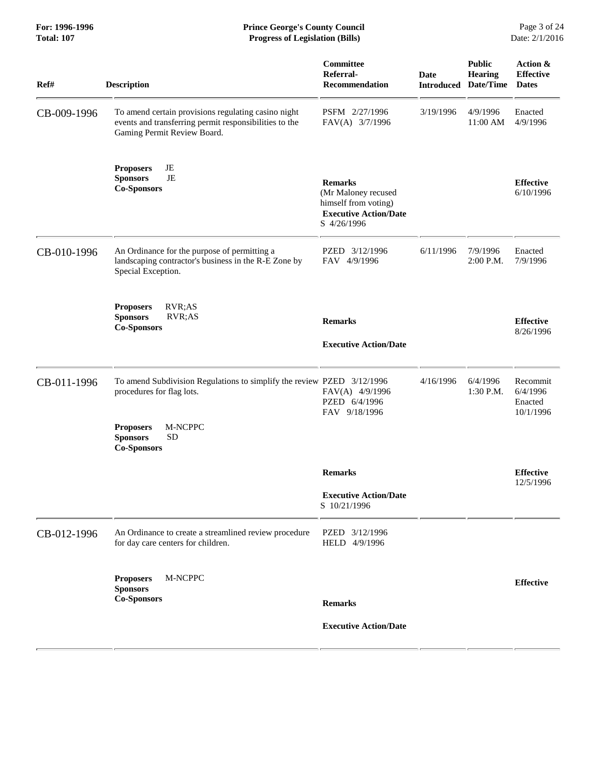| Ref#        | <b>Description</b>                                                                                                                                                                       | Committee<br>Referral-<br><b>Recommendation</b>                                                              | <b>Date</b><br><b>Introduced</b> | <b>Public</b><br><b>Hearing</b><br>Date/Time | Action &<br><b>Effective</b><br><b>Dates</b> |
|-------------|------------------------------------------------------------------------------------------------------------------------------------------------------------------------------------------|--------------------------------------------------------------------------------------------------------------|----------------------------------|----------------------------------------------|----------------------------------------------|
| CB-009-1996 | To amend certain provisions regulating casino night<br>events and transferring permit responsibilities to the<br>Gaming Permit Review Board.                                             | PSFM 2/27/1996<br>FAV(A) 3/7/1996                                                                            | 3/19/1996                        | 4/9/1996<br>11:00 AM                         | Enacted<br>4/9/1996                          |
|             | JE<br><b>Proposers</b><br><b>Sponsors</b><br>JE<br><b>Co-Sponsors</b>                                                                                                                    | <b>Remarks</b><br>(Mr Maloney recused<br>himself from voting)<br><b>Executive Action/Date</b><br>S 4/26/1996 |                                  |                                              | <b>Effective</b><br>6/10/1996                |
| CB-010-1996 | An Ordinance for the purpose of permitting a<br>landscaping contractor's business in the R-E Zone by<br>Special Exception.                                                               | PZED 3/12/1996<br>FAV 4/9/1996                                                                               | 6/11/1996                        | 7/9/1996<br>2:00 P.M.                        | Enacted<br>7/9/1996                          |
|             | <b>Proposers</b><br>RVR;AS<br><b>Sponsors</b><br>RVR;AS<br><b>Co-Sponsors</b>                                                                                                            | <b>Remarks</b><br><b>Executive Action/Date</b>                                                               |                                  |                                              | <b>Effective</b><br>8/26/1996                |
| CB-011-1996 | To amend Subdivision Regulations to simplify the review PZED 3/12/1996<br>procedures for flag lots.<br><b>Proposers</b><br>M-NCPPC<br><b>Sponsors</b><br><b>SD</b><br><b>Co-Sponsors</b> | FAV(A) 4/9/1996<br>PZED 6/4/1996<br>FAV 9/18/1996                                                            | 4/16/1996                        | 6/4/1996<br>1:30 P.M.                        | Recommit<br>6/4/1996<br>Enacted<br>10/1/1996 |
|             |                                                                                                                                                                                          | <b>Remarks</b><br><b>Executive Action/Date</b>                                                               |                                  |                                              | <b>Effective</b><br>12/5/1996                |
| CB-012-1996 | An Ordinance to create a streamlined review procedure<br>for day care centers for children.                                                                                              | S 10/21/1996<br>PZED 3/12/1996<br>HELD 4/9/1996                                                              |                                  |                                              |                                              |
|             | M-NCPPC<br><b>Proposers</b><br><b>Sponsors</b><br><b>Co-Sponsors</b>                                                                                                                     | <b>Remarks</b>                                                                                               |                                  |                                              | <b>Effective</b>                             |
|             |                                                                                                                                                                                          | <b>Executive Action/Date</b>                                                                                 |                                  |                                              |                                              |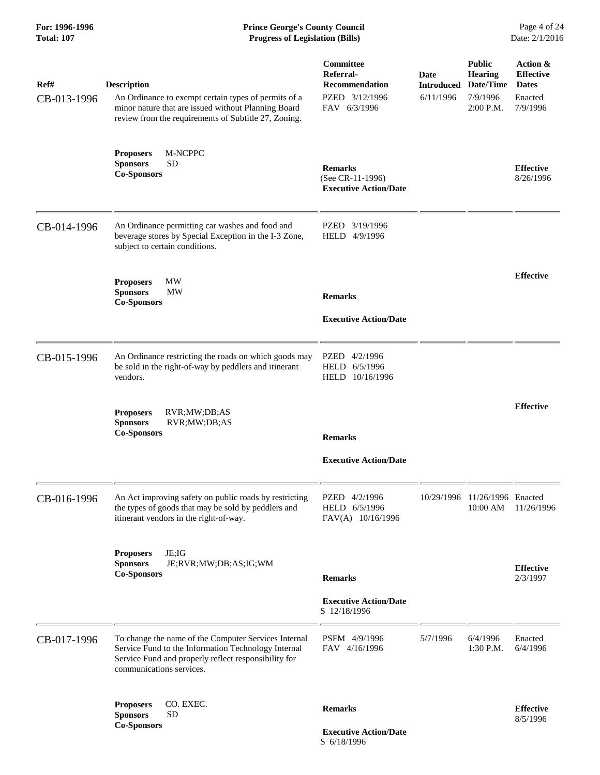| Ref#<br>CB-013-1996 | <b>Description</b><br>An Ordinance to exempt certain types of permits of a<br>minor nature that are issued without Planning Board<br>review from the requirements of Subtitle 27, Zoning.       | Committee<br>Referral-<br><b>Recommendation</b><br>PZED 3/12/1996<br>FAV 6/3/1996 | Date<br>6/11/1996 | <b>Public</b><br><b>Hearing</b><br><b>Introduced Date/Time</b><br>7/9/1996<br>2:00 P.M. | Action &<br><b>Effective</b><br><b>Dates</b><br>Enacted<br>7/9/1996 |
|---------------------|-------------------------------------------------------------------------------------------------------------------------------------------------------------------------------------------------|-----------------------------------------------------------------------------------|-------------------|-----------------------------------------------------------------------------------------|---------------------------------------------------------------------|
|                     | M-NCPPC<br><b>Proposers</b><br><b>Sponsors</b><br><b>SD</b><br><b>Co-Sponsors</b>                                                                                                               | <b>Remarks</b><br>(See CR-11-1996)<br><b>Executive Action/Date</b>                |                   |                                                                                         | <b>Effective</b><br>8/26/1996                                       |
| CB-014-1996         | An Ordinance permitting car washes and food and<br>beverage stores by Special Exception in the I-3 Zone,<br>subject to certain conditions.                                                      | PZED 3/19/1996<br>HELD 4/9/1996                                                   |                   |                                                                                         |                                                                     |
|                     | <b>Proposers</b><br>МW<br><b>Sponsors</b><br><b>MW</b><br><b>Co-Sponsors</b>                                                                                                                    | <b>Remarks</b><br><b>Executive Action/Date</b>                                    |                   |                                                                                         | <b>Effective</b>                                                    |
| CB-015-1996         | An Ordinance restricting the roads on which goods may<br>be sold in the right-of-way by peddlers and itinerant<br>vendors.                                                                      | PZED 4/2/1996<br>HELD 6/5/1996<br>HELD 10/16/1996                                 |                   |                                                                                         |                                                                     |
|                     | <b>Proposers</b><br>RVR;MW;DB;AS<br><b>Sponsors</b><br>RVR;MW;DB;AS<br><b>Co-Sponsors</b>                                                                                                       | <b>Remarks</b><br><b>Executive Action/Date</b>                                    |                   |                                                                                         | <b>Effective</b>                                                    |
| CB-016-1996         | An Act improving safety on public roads by restricting<br>the types of goods that may be sold by peddlers and<br>itinerant vendors in the right-of-way.                                         | PZED 4/2/1996<br>HELD 6/5/1996<br>FAV(A) 10/16/1996                               |                   | 10/29/1996 11/26/1996 Enacted<br>10:00 AM                                               | 11/26/1996                                                          |
|                     | JE;IG<br><b>Proposers</b><br><b>Sponsors</b><br>JE;RVR;MW;DB;AS;IG;WM<br><b>Co-Sponsors</b>                                                                                                     | <b>Remarks</b>                                                                    |                   |                                                                                         | <b>Effective</b><br>2/3/1997                                        |
|                     |                                                                                                                                                                                                 | <b>Executive Action/Date</b><br>S 12/18/1996                                      |                   |                                                                                         |                                                                     |
| CB-017-1996         | To change the name of the Computer Services Internal<br>Service Fund to the Information Technology Internal<br>Service Fund and properly reflect responsibility for<br>communications services. | PSFM 4/9/1996<br>FAV 4/16/1996                                                    | 5/7/1996          | 6/4/1996<br>1:30 P.M.                                                                   | Enacted<br>6/4/1996                                                 |
|                     | CO. EXEC.<br><b>Proposers</b><br><b>Sponsors</b><br><b>SD</b><br><b>Co-Sponsors</b>                                                                                                             | <b>Remarks</b><br><b>Executive Action/Date</b>                                    |                   |                                                                                         | <b>Effective</b><br>8/5/1996                                        |

S 6/18/1996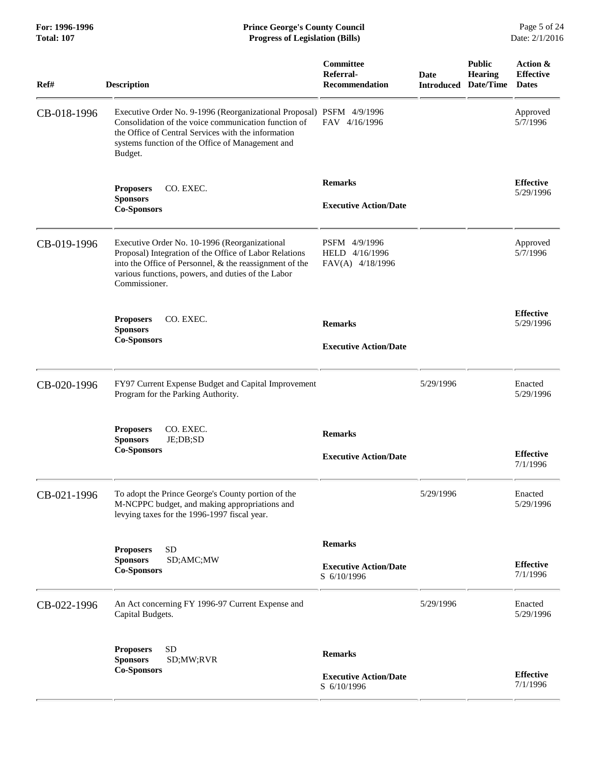| Ref#        | <b>Description</b>                                                                                                                                                                                                                                 | <b>Committee</b><br>Referral-<br><b>Recommendation</b>        | <b>Date</b><br><b>Introduced</b> | <b>Public</b><br><b>Hearing</b><br>Date/Time | Action &<br><b>Effective</b><br><b>Dates</b> |
|-------------|----------------------------------------------------------------------------------------------------------------------------------------------------------------------------------------------------------------------------------------------------|---------------------------------------------------------------|----------------------------------|----------------------------------------------|----------------------------------------------|
| CB-018-1996 | Executive Order No. 9-1996 (Reorganizational Proposal) PSFM 4/9/1996<br>Consolidation of the voice communication function of<br>the Office of Central Services with the information<br>systems function of the Office of Management and<br>Budget. | FAV 4/16/1996                                                 |                                  |                                              | Approved<br>5/7/1996                         |
|             | <b>Proposers</b><br>CO. EXEC.<br><b>Sponsors</b><br><b>Co-Sponsors</b>                                                                                                                                                                             | <b>Remarks</b><br><b>Executive Action/Date</b>                |                                  |                                              | <b>Effective</b><br>5/29/1996                |
| CB-019-1996 | Executive Order No. 10-1996 (Reorganizational<br>Proposal) Integration of the Office of Labor Relations<br>into the Office of Personnel, & the reassignment of the<br>various functions, powers, and duties of the Labor<br>Commissioner.          | PSFM 4/9/1996<br>HELD 4/16/1996<br>FAV(A) 4/18/1996           |                                  |                                              | Approved<br>5/7/1996                         |
|             | CO. EXEC.<br><b>Proposers</b><br><b>Sponsors</b><br><b>Co-Sponsors</b>                                                                                                                                                                             | <b>Remarks</b><br><b>Executive Action/Date</b>                |                                  |                                              | <b>Effective</b><br>5/29/1996                |
| CB-020-1996 | FY97 Current Expense Budget and Capital Improvement<br>Program for the Parking Authority.                                                                                                                                                          |                                                               | 5/29/1996                        |                                              | Enacted<br>5/29/1996                         |
|             | CO. EXEC.<br><b>Proposers</b><br><b>Sponsors</b><br>JE;DB;SD<br><b>Co-Sponsors</b>                                                                                                                                                                 | <b>Remarks</b><br><b>Executive Action/Date</b>                |                                  |                                              | <b>Effective</b><br>7/1/1996                 |
| CB-021-1996 | To adopt the Prince George's County portion of the<br>M-NCPPC budget, and making appropriations and<br>levying taxes for the 1996-1997 fiscal year.                                                                                                |                                                               | 5/29/1996                        |                                              | Enacted<br>5/29/1996                         |
|             | <b>SD</b><br><b>Proposers</b><br><b>Sponsors</b><br>SD;AMC;MW<br><b>Co-Sponsors</b>                                                                                                                                                                | <b>Remarks</b><br><b>Executive Action/Date</b><br>S 6/10/1996 |                                  |                                              | <b>Effective</b><br>7/1/1996                 |
| CB-022-1996 | An Act concerning FY 1996-97 Current Expense and<br>Capital Budgets.                                                                                                                                                                               |                                                               | 5/29/1996                        |                                              | Enacted<br>5/29/1996                         |
|             | <b>SD</b><br><b>Proposers</b><br>SD;MW;RVR<br><b>Sponsors</b><br><b>Co-Sponsors</b>                                                                                                                                                                | <b>Remarks</b><br><b>Executive Action/Date</b><br>S 6/10/1996 |                                  |                                              | <b>Effective</b><br>7/1/1996                 |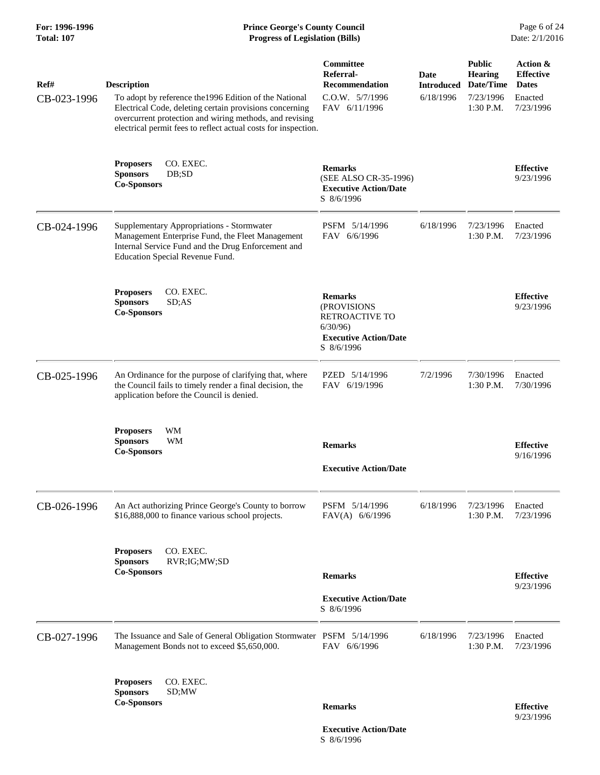## **For: 1996-1996 Prince George's County Council** Page 6 of 24<br> **Prince George's County Council** Page 6 of 24<br> **Progress of Legislation (Bills)** Date: 2/1/2016 **Total: 107 Progress of Legislation (Bills)**

| Ref#<br>CB-023-1996 | <b>Description</b><br>To adopt by reference the 1996 Edition of the National<br>Electrical Code, deleting certain provisions concerning<br>overcurrent protection and wiring methods, and revising<br>electrical permit fees to reflect actual costs for inspection. | Committee<br>Referral-<br><b>Recommendation</b><br>C.O.W. 5/7/1996<br>FAV 6/11/1996                             | Date<br>6/18/1996 | <b>Public</b><br><b>Hearing</b><br><b>Introduced Date/Time</b><br>7/23/1996<br>1:30 P.M. | Action &<br><b>Effective</b><br><b>Dates</b><br>Enacted<br>7/23/1996 |
|---------------------|----------------------------------------------------------------------------------------------------------------------------------------------------------------------------------------------------------------------------------------------------------------------|-----------------------------------------------------------------------------------------------------------------|-------------------|------------------------------------------------------------------------------------------|----------------------------------------------------------------------|
|                     | CO. EXEC.<br><b>Proposers</b><br><b>Sponsors</b><br>DB;SD<br><b>Co-Sponsors</b>                                                                                                                                                                                      | <b>Remarks</b><br>(SEE ALSO CR-35-1996)<br><b>Executive Action/Date</b><br>S 8/6/1996                           |                   |                                                                                          | <b>Effective</b><br>9/23/1996                                        |
| CB-024-1996         | Supplementary Appropriations - Stormwater<br>Management Enterprise Fund, the Fleet Management<br>Internal Service Fund and the Drug Enforcement and<br>Education Special Revenue Fund.                                                                               | PSFM 5/14/1996<br>FAV 6/6/1996                                                                                  | 6/18/1996         | 7/23/1996<br>1:30 P.M.                                                                   | Enacted<br>7/23/1996                                                 |
|                     | <b>Proposers</b><br>CO. EXEC.<br><b>Sponsors</b><br>SD; AS<br><b>Co-Sponsors</b>                                                                                                                                                                                     | <b>Remarks</b><br>(PROVISIONS<br><b>RETROACTIVE TO</b><br>6/30/96<br><b>Executive Action/Date</b><br>S 8/6/1996 |                   |                                                                                          | <b>Effective</b><br>9/23/1996                                        |
| CB-025-1996         | An Ordinance for the purpose of clarifying that, where<br>the Council fails to timely render a final decision, the<br>application before the Council is denied.                                                                                                      | PZED 5/14/1996<br>FAV 6/19/1996                                                                                 | 7/2/1996          | 7/30/1996<br>1:30 P.M.                                                                   | Enacted<br>7/30/1996                                                 |
|                     | WM<br><b>Proposers</b><br><b>Sponsors</b><br><b>WM</b><br><b>Co-Sponsors</b>                                                                                                                                                                                         | <b>Remarks</b><br><b>Executive Action/Date</b>                                                                  |                   |                                                                                          | <b>Effective</b><br>9/16/1996                                        |
| CB-026-1996         | An Act authorizing Prince George's County to borrow<br>\$16,888,000 to finance various school projects.                                                                                                                                                              | PSFM 5/14/1996<br>FAV(A) 6/6/1996                                                                               | 6/18/1996         | 7/23/1996<br>1:30 P.M.                                                                   | Enacted<br>7/23/1996                                                 |
|                     | CO. EXEC.<br><b>Proposers</b><br><b>Sponsors</b><br>RVR;IG;MW;SD<br><b>Co-Sponsors</b>                                                                                                                                                                               | <b>Remarks</b><br><b>Executive Action/Date</b><br>S 8/6/1996                                                    |                   |                                                                                          | <b>Effective</b><br>9/23/1996                                        |
| CB-027-1996         | The Issuance and Sale of General Obligation Stormwater PSFM 5/14/1996<br>Management Bonds not to exceed \$5,650,000.                                                                                                                                                 | FAV 6/6/1996                                                                                                    | 6/18/1996         | 7/23/1996<br>1:30 P.M.                                                                   | Enacted<br>7/23/1996                                                 |
|                     | CO. EXEC.<br><b>Proposers</b><br>SD;MW<br><b>Sponsors</b><br><b>Co-Sponsors</b>                                                                                                                                                                                      | <b>Remarks</b>                                                                                                  |                   |                                                                                          | <b>Effective</b><br>9/23/1996                                        |

 **Executive Action/Date** S 8/6/1996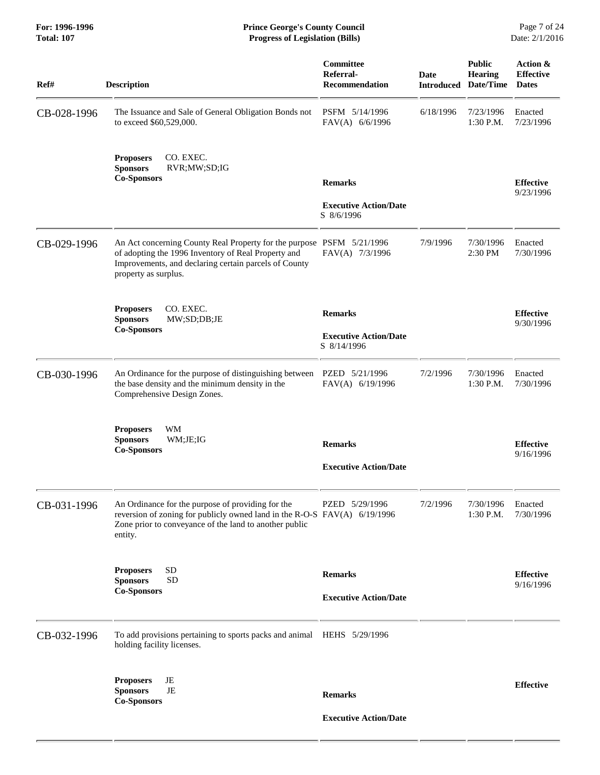| Ref#        | <b>Description</b>                                                                                                                                                                                            | Committee<br>Referral-<br><b>Recommendation</b>               | <b>Date</b><br><b>Introduced</b> | <b>Public</b><br><b>Hearing</b><br>Date/Time | Action &<br><b>Effective</b><br><b>Dates</b> |
|-------------|---------------------------------------------------------------------------------------------------------------------------------------------------------------------------------------------------------------|---------------------------------------------------------------|----------------------------------|----------------------------------------------|----------------------------------------------|
| CB-028-1996 | The Issuance and Sale of General Obligation Bonds not<br>to exceed \$60,529,000.                                                                                                                              | PSFM 5/14/1996<br>FAV(A) 6/6/1996                             | 6/18/1996                        | 7/23/1996<br>1:30 P.M.                       | Enacted<br>7/23/1996                         |
|             | CO. EXEC.<br><b>Proposers</b><br><b>Sponsors</b><br>RVR;MW;SD;IG<br><b>Co-Sponsors</b>                                                                                                                        | <b>Remarks</b><br><b>Executive Action/Date</b><br>S 8/6/1996  |                                  |                                              | <b>Effective</b><br>9/23/1996                |
| CB-029-1996 | An Act concerning County Real Property for the purpose PSFM 5/21/1996<br>of adopting the 1996 Inventory of Real Property and<br>Improvements, and declaring certain parcels of County<br>property as surplus. | FAV(A) 7/3/1996                                               | 7/9/1996                         | 7/30/1996<br>2:30 PM                         | Enacted<br>7/30/1996                         |
|             | CO. EXEC.<br><b>Proposers</b><br><b>Sponsors</b><br>MW;SD;DB;JE<br><b>Co-Sponsors</b>                                                                                                                         | <b>Remarks</b><br><b>Executive Action/Date</b><br>S 8/14/1996 |                                  |                                              | <b>Effective</b><br>9/30/1996                |
| CB-030-1996 | An Ordinance for the purpose of distinguishing between<br>the base density and the minimum density in the<br>Comprehensive Design Zones.                                                                      | PZED 5/21/1996<br>FAV(A) 6/19/1996                            | 7/2/1996                         | 7/30/1996<br>1:30 P.M.                       | Enacted<br>7/30/1996                         |
|             | <b>Proposers</b><br>WM<br><b>Sponsors</b><br>WM;JE;IG<br><b>Co-Sponsors</b>                                                                                                                                   | <b>Remarks</b><br><b>Executive Action/Date</b>                |                                  |                                              | <b>Effective</b><br>9/16/1996                |
| CB-031-1996 | An Ordinance for the purpose of providing for the<br>reversion of zoning for publicly owned land in the R-O-S FAV(A) 6/19/1996<br>Zone prior to conveyance of the land to another public<br>entity.           | PZED 5/29/1996                                                | 7/2/1996                         | 7/30/1996<br>1:30 P.M.                       | Enacted<br>7/30/1996                         |
|             | <b>Proposers</b><br><b>SD</b><br><b>SD</b><br><b>Sponsors</b><br><b>Co-Sponsors</b>                                                                                                                           | <b>Remarks</b><br><b>Executive Action/Date</b>                |                                  |                                              | <b>Effective</b><br>9/16/1996                |
| CB-032-1996 | To add provisions pertaining to sports packs and animal HEHS 5/29/1996<br>holding facility licenses.                                                                                                          |                                                               |                                  |                                              |                                              |
|             | JE<br><b>Proposers</b><br><b>Sponsors</b><br>JE<br><b>Co-Sponsors</b>                                                                                                                                         | <b>Remarks</b>                                                |                                  |                                              | <b>Effective</b>                             |
|             |                                                                                                                                                                                                               | <b>Executive Action/Date</b>                                  |                                  |                                              |                                              |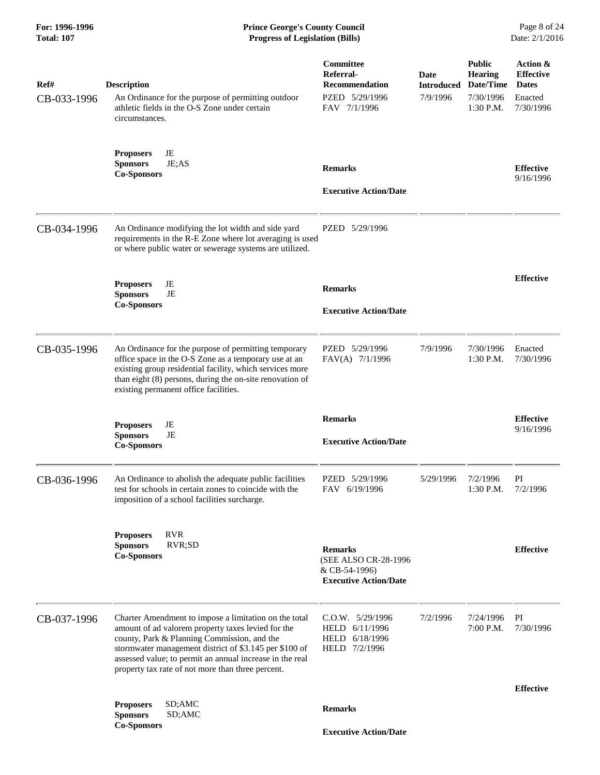## **For: 1996-1996 Prince George's County Council** Page 8 of 24<br> **Prince George's County Council** Page 8 of 24<br> **Progress of Legislation (Bills)** Date: 2/1/2016 **Total: 107 Progress of Legislation (Bills)**

| Ref#<br>CB-033-1996 | <b>Description</b><br>An Ordinance for the purpose of permitting outdoor<br>athletic fields in the O-S Zone under certain<br>circumstances.                                                                                                                                                                                           | Committee<br>Referral-<br><b>Recommendation</b><br>PZED 5/29/1996<br>FAV 7/1/1996       | Date<br><b>Introduced</b><br>7/9/1996 | <b>Public</b><br><b>Hearing</b><br>Date/Time<br>7/30/1996<br>1:30 P.M. | Action &<br><b>Effective</b><br><b>Dates</b><br>Enacted<br>7/30/1996 |
|---------------------|---------------------------------------------------------------------------------------------------------------------------------------------------------------------------------------------------------------------------------------------------------------------------------------------------------------------------------------|-----------------------------------------------------------------------------------------|---------------------------------------|------------------------------------------------------------------------|----------------------------------------------------------------------|
|                     | JE<br><b>Proposers</b><br>JE;AS<br><b>Sponsors</b><br><b>Co-Sponsors</b>                                                                                                                                                                                                                                                              | <b>Remarks</b><br><b>Executive Action/Date</b>                                          |                                       |                                                                        | <b>Effective</b><br>9/16/1996                                        |
| CB-034-1996         | An Ordinance modifying the lot width and side yard<br>requirements in the R-E Zone where lot averaging is used<br>or where public water or sewerage systems are utilized.                                                                                                                                                             | PZED 5/29/1996                                                                          |                                       |                                                                        |                                                                      |
|                     | JE<br><b>Proposers</b><br>JE<br><b>Sponsors</b><br><b>Co-Sponsors</b>                                                                                                                                                                                                                                                                 | <b>Remarks</b><br><b>Executive Action/Date</b>                                          |                                       |                                                                        | <b>Effective</b>                                                     |
| CB-035-1996         | An Ordinance for the purpose of permitting temporary<br>office space in the O-S Zone as a temporary use at an<br>existing group residential facility, which services more<br>than eight (8) persons, during the on-site renovation of<br>existing permanent office facilities.                                                        | PZED 5/29/1996<br>FAV(A) 7/1/1996                                                       | 7/9/1996                              | 7/30/1996<br>1:30 P.M.                                                 | Enacted<br>7/30/1996                                                 |
|                     | JE<br><b>Proposers</b><br><b>Sponsors</b><br>JE<br><b>Co-Sponsors</b>                                                                                                                                                                                                                                                                 | <b>Remarks</b><br><b>Executive Action/Date</b>                                          |                                       |                                                                        | <b>Effective</b><br>9/16/1996                                        |
| CB-036-1996         | An Ordinance to abolish the adequate public facilities<br>test for schools in certain zones to coincide with the<br>imposition of a school facilities surcharge.                                                                                                                                                                      | PZED 5/29/1996<br>FAV 6/19/1996                                                         | 5/29/1996                             | 7/2/1996<br>1:30 P.M.                                                  | PI<br>7/2/1996                                                       |
|                     | <b>RVR</b><br><b>Proposers</b><br>RVR;SD<br><b>Sponsors</b><br><b>Co-Sponsors</b>                                                                                                                                                                                                                                                     | <b>Remarks</b><br>(SEE ALSO CR-28-1996<br>& CB-54-1996)<br><b>Executive Action/Date</b> |                                       |                                                                        | <b>Effective</b>                                                     |
| CB-037-1996         | Charter Amendment to impose a limitation on the total<br>amount of ad valorem property taxes levied for the<br>county, Park & Planning Commission, and the<br>stormwater management district of \$3.145 per \$100 of<br>assessed value; to permit an annual increase in the real<br>property tax rate of not more than three percent. | C.O.W. 5/29/1996<br>HELD 6/11/1996<br>HELD 6/18/1996<br>HELD 7/2/1996                   | 7/2/1996                              | 7/24/1996<br>7:00 P.M.                                                 | PI<br>7/30/1996                                                      |
|                     |                                                                                                                                                                                                                                                                                                                                       |                                                                                         |                                       |                                                                        | <b>Effective</b>                                                     |
|                     | SD;AMC<br><b>Proposers</b><br><b>Sponsors</b><br>SD;AMC                                                                                                                                                                                                                                                                               | <b>Remarks</b>                                                                          |                                       |                                                                        |                                                                      |
|                     | <b>Co-Sponsors</b>                                                                                                                                                                                                                                                                                                                    | <b>Executive Action/Date</b>                                                            |                                       |                                                                        |                                                                      |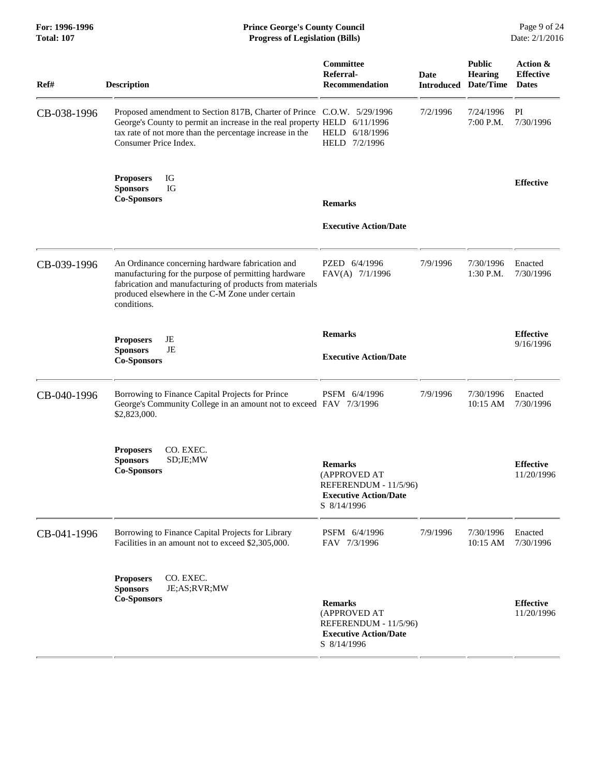## **For: 1996-1996 Prince George's County Council** Page 9 of 24<br> **Prince George's County Council** Page 9 of 24<br> **Progress of Legislation (Bills)** Date: 2/1/2016 **Total: 107 Progress of Legislation (Bills)**

| Ref#        | <b>Description</b>                                                                                                                                                                                                                       | Committee<br>Referral-<br><b>Recommendation</b>                                                        | <b>Date</b><br><b>Introduced</b> | <b>Public</b><br><b>Hearing</b><br>Date/Time | Action &<br><b>Effective</b><br><b>Dates</b> |
|-------------|------------------------------------------------------------------------------------------------------------------------------------------------------------------------------------------------------------------------------------------|--------------------------------------------------------------------------------------------------------|----------------------------------|----------------------------------------------|----------------------------------------------|
| CB-038-1996 | Proposed amendment to Section 817B, Charter of Prince C.O.W. 5/29/1996<br>George's County to permit an increase in the real property HELD 6/11/1996<br>tax rate of not more than the percentage increase in the<br>Consumer Price Index. | HELD 6/18/1996<br>HELD 7/2/1996                                                                        | 7/2/1996                         | 7/24/1996<br>7:00 P.M.                       | PI<br>7/30/1996                              |
|             | IG<br><b>Proposers</b><br><b>Sponsors</b><br>IG<br><b>Co-Sponsors</b>                                                                                                                                                                    | <b>Remarks</b>                                                                                         |                                  |                                              | <b>Effective</b>                             |
|             |                                                                                                                                                                                                                                          | <b>Executive Action/Date</b>                                                                           |                                  |                                              |                                              |
| CB-039-1996 | An Ordinance concerning hardware fabrication and<br>manufacturing for the purpose of permitting hardware<br>fabrication and manufacturing of products from materials<br>produced elsewhere in the C-M Zone under certain<br>conditions.  | PZED 6/4/1996<br>FAV(A) 7/1/1996                                                                       | 7/9/1996                         | 7/30/1996<br>1:30 P.M.                       | Enacted<br>7/30/1996                         |
|             | JE<br><b>Proposers</b><br><b>Sponsors</b><br>JE<br><b>Co-Sponsors</b>                                                                                                                                                                    | <b>Remarks</b><br><b>Executive Action/Date</b>                                                         |                                  |                                              | <b>Effective</b><br>9/16/1996                |
| CB-040-1996 | Borrowing to Finance Capital Projects for Prince<br>George's Community College in an amount not to exceed FAV 7/3/1996<br>\$2,823,000.                                                                                                   | PSFM 6/4/1996                                                                                          | 7/9/1996                         | 7/30/1996<br>10:15 AM                        | Enacted<br>7/30/1996                         |
|             | <b>Proposers</b><br>CO. EXEC.<br><b>Sponsors</b><br>SD;JE;MW<br><b>Co-Sponsors</b>                                                                                                                                                       | <b>Remarks</b><br>(APPROVED AT<br>REFERENDUM - 11/5/96)<br><b>Executive Action/Date</b><br>S 8/14/1996 |                                  |                                              | <b>Effective</b><br>11/20/1996               |
| CB-041-1996 | Borrowing to Finance Capital Projects for Library<br>Facilities in an amount not to exceed \$2,305,000.                                                                                                                                  | PSFM 6/4/1996<br>FAV 7/3/1996                                                                          | 7/9/1996                         | 7/30/1996<br>10:15 AM                        | Enacted<br>7/30/1996                         |
|             | CO. EXEC.<br><b>Proposers</b><br><b>Sponsors</b><br>JE;AS;RVR;MW<br><b>Co-Sponsors</b>                                                                                                                                                   | <b>Remarks</b><br>(APPROVED AT<br>REFERENDUM - 11/5/96)<br><b>Executive Action/Date</b><br>S 8/14/1996 |                                  |                                              | <b>Effective</b><br>11/20/1996               |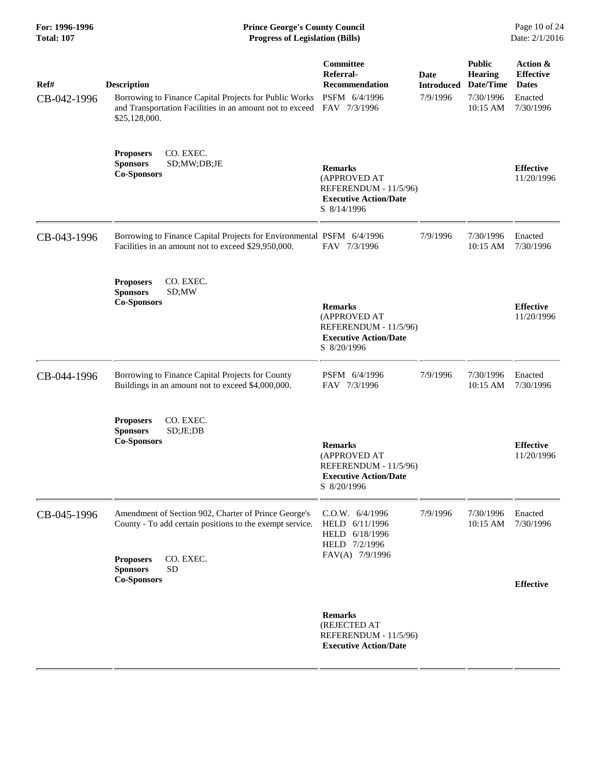| For: 1996-1996<br><b>Total: 107</b> | <b>Prince George's County Council</b><br>Date: 2/1/2016<br><b>Progress of Legislation (Bills)</b>                                                                          |                                                                                                        |                                       |                                                                       |                                                                      |
|-------------------------------------|----------------------------------------------------------------------------------------------------------------------------------------------------------------------------|--------------------------------------------------------------------------------------------------------|---------------------------------------|-----------------------------------------------------------------------|----------------------------------------------------------------------|
| Ref#<br>CB-042-1996                 | <b>Description</b><br>Borrowing to Finance Capital Projects for Public Works<br>and Transportation Facilities in an amount not to exceed<br>\$25,128,000.                  | Committee<br>Referral-<br><b>Recommendation</b><br>PSFM 6/4/1996<br>FAV 7/3/1996                       | Date<br><b>Introduced</b><br>7/9/1996 | <b>Public</b><br><b>Hearing</b><br>Date/Time<br>7/30/1996<br>10:15 AM | Action &<br><b>Effective</b><br><b>Dates</b><br>Enacted<br>7/30/1996 |
|                                     | CO. EXEC.<br><b>Proposers</b><br>SD;MW;DB;JE<br><b>Sponsors</b><br><b>Co-Sponsors</b>                                                                                      | <b>Remarks</b><br>(APPROVED AT<br>REFERENDUM - 11/5/96)<br><b>Executive Action/Date</b><br>S 8/14/1996 |                                       |                                                                       | <b>Effective</b><br>11/20/1996                                       |
| CB-043-1996                         | Borrowing to Finance Capital Projects for Environmental PSFM 6/4/1996<br>Facilities in an amount not to exceed \$29,950,000.                                               | FAV 7/3/1996                                                                                           | 7/9/1996                              | 7/30/1996<br>10:15 AM                                                 | Enacted<br>7/30/1996                                                 |
|                                     | CO. EXEC.<br><b>Proposers</b><br><b>Sponsors</b><br>SD;MW<br><b>Co-Sponsors</b>                                                                                            | <b>Remarks</b><br>(APPROVED AT<br>REFERENDUM - 11/5/96)<br><b>Executive Action/Date</b><br>S 8/20/1996 |                                       |                                                                       | <b>Effective</b><br>11/20/1996                                       |
| CB-044-1996                         | Borrowing to Finance Capital Projects for County<br>Buildings in an amount not to exceed \$4,000,000.                                                                      | PSFM 6/4/1996<br>FAV 7/3/1996                                                                          | 7/9/1996                              | 7/30/1996<br>10:15 AM                                                 | Enacted<br>7/30/1996                                                 |
|                                     | <b>Proposers</b><br>CO. EXEC.<br>SD;JE;DB<br><b>Sponsors</b><br><b>Co-Sponsors</b>                                                                                         | <b>Remarks</b><br>(APPROVED AT<br>REFERENDUM - 11/5/96)<br><b>Executive Action/Date</b><br>S 8/20/1996 |                                       |                                                                       | <b>Effective</b><br>11/20/1996                                       |
| CB-045-1996                         | Amendment of Section 902, Charter of Prince George's<br>County - To add certain positions to the exempt service.<br>CO. EXEC.<br><b>Proposers</b><br><b>Sponsors</b><br>SD | C.O.W. 6/4/1996<br>HELD 6/11/1996<br>HELD 6/18/1996<br>HELD 7/2/1996<br>FAV(A) 7/9/1996                | 7/9/1996                              | 7/30/1996<br>10:15 AM                                                 | Enacted<br>7/30/1996                                                 |
|                                     | <b>Co-Sponsors</b>                                                                                                                                                         |                                                                                                        |                                       |                                                                       | <b>Effective</b>                                                     |
|                                     |                                                                                                                                                                            | <b>Remarks</b><br>(REJECTED AT<br>REFERENDUM - 11/5/96)<br><b>Executive Action/Date</b>                |                                       |                                                                       |                                                                      |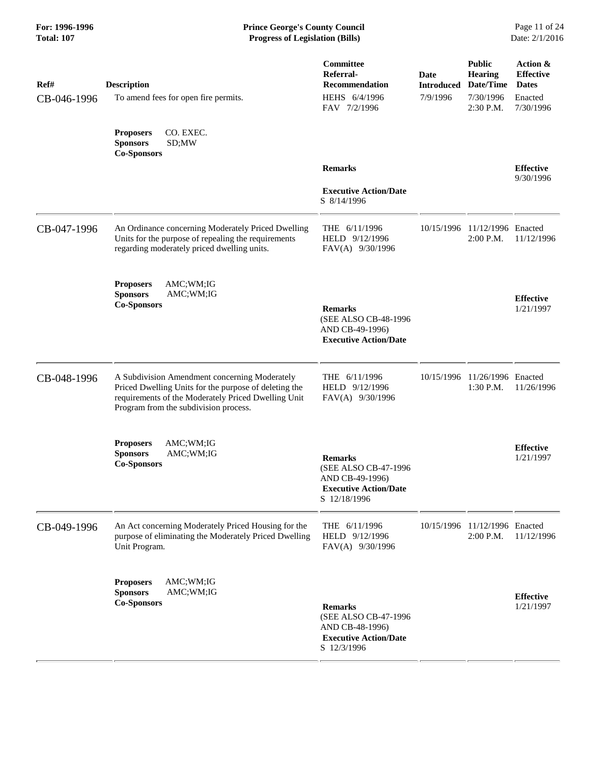| Ref#<br>CB-046-1996 | <b>Description</b><br>To amend fees for open fire permits.                                                                                                                                             | <b>Committee</b><br>Referral-<br><b>Recommendation</b><br>HEHS 6/4/1996<br>FAV 7/2/1996                   | Date<br><b>Introduced</b><br>7/9/1996 | <b>Public</b><br><b>Hearing</b><br>Date/Time<br>7/30/1996<br>2:30 P.M. | Action &<br><b>Effective</b><br><b>Dates</b><br>Enacted<br>7/30/1996 |
|---------------------|--------------------------------------------------------------------------------------------------------------------------------------------------------------------------------------------------------|-----------------------------------------------------------------------------------------------------------|---------------------------------------|------------------------------------------------------------------------|----------------------------------------------------------------------|
|                     | <b>Proposers</b><br>CO. EXEC.<br><b>Sponsors</b><br>SD;MW<br><b>Co-Sponsors</b>                                                                                                                        |                                                                                                           |                                       |                                                                        |                                                                      |
|                     |                                                                                                                                                                                                        | <b>Remarks</b><br><b>Executive Action/Date</b><br>S 8/14/1996                                             |                                       |                                                                        | <b>Effective</b><br>9/30/1996                                        |
| CB-047-1996         | An Ordinance concerning Moderately Priced Dwelling<br>Units for the purpose of repealing the requirements<br>regarding moderately priced dwelling units.                                               | THE 6/11/1996<br>HELD 9/12/1996<br>FAV(A) 9/30/1996                                                       |                                       | 10/15/1996 11/12/1996 Enacted<br>2:00 P.M.                             | 11/12/1996                                                           |
|                     | <b>Proposers</b><br>AMC;WM;IG<br><b>Sponsors</b><br>AMC;WM;IG<br><b>Co-Sponsors</b>                                                                                                                    | <b>Remarks</b><br>(SEE ALSO CB-48-1996<br>AND CB-49-1996)<br><b>Executive Action/Date</b>                 |                                       |                                                                        | <b>Effective</b><br>1/21/1997                                        |
| CB-048-1996         | A Subdivision Amendment concerning Moderately<br>Priced Dwelling Units for the purpose of deleting the<br>requirements of the Moderately Priced Dwelling Unit<br>Program from the subdivision process. | THE 6/11/1996<br>HELD 9/12/1996<br>FAV(A) 9/30/1996                                                       |                                       | 10/15/1996 11/26/1996 Enacted<br>1:30 P.M.                             | 11/26/1996                                                           |
|                     | AMC;WM;IG<br><b>Proposers</b><br><b>Sponsors</b><br>AMC;WM;IG<br><b>Co-Sponsors</b>                                                                                                                    | <b>Remarks</b><br>(SEE ALSO CB-47-1996<br>AND CB-49-1996)<br><b>Executive Action/Date</b><br>S 12/18/1996 |                                       |                                                                        | <b>Effective</b><br>1/21/1997                                        |
| CB-049-1996         | An Act concerning Moderately Priced Housing for the<br>purpose of eliminating the Moderately Priced Dwelling<br>Unit Program.                                                                          | THE 6/11/1996<br>HELD 9/12/1996<br>FAV(A) 9/30/1996                                                       |                                       | 10/15/1996 11/12/1996 Enacted<br>2:00 P.M.                             | 11/12/1996                                                           |
|                     | AMC;WM;IG<br><b>Proposers</b><br><b>Sponsors</b><br>AMC;WM;IG<br><b>Co-Sponsors</b>                                                                                                                    | <b>Remarks</b><br>(SEE ALSO CB-47-1996<br>AND CB-48-1996)<br><b>Executive Action/Date</b><br>S 12/3/1996  |                                       |                                                                        | <b>Effective</b><br>1/21/1997                                        |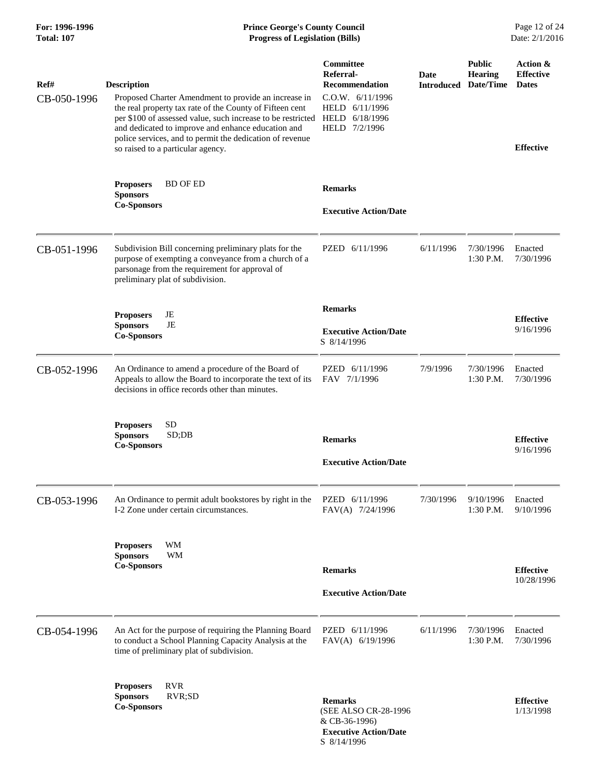# **For: 1996-1996 Prince George's County Council** Page 12 of 24<br> **Prince George's County Council** Page 12 of 24<br> **Progress of Legislation (Bills)** Date: 2/1/2016 **Total: 107 Progress of Legislation (Bills)**

| Ref#        | <b>Description</b>                                                                                                                                                                                                                                                                                                                                    | Committee<br>Referral-<br><b>Recommendation</b>                                         | <b>Date</b><br><b>Introduced</b> | <b>Public</b><br><b>Hearing</b><br>Date/Time | Action &<br><b>Effective</b><br><b>Dates</b> |
|-------------|-------------------------------------------------------------------------------------------------------------------------------------------------------------------------------------------------------------------------------------------------------------------------------------------------------------------------------------------------------|-----------------------------------------------------------------------------------------|----------------------------------|----------------------------------------------|----------------------------------------------|
| CB-050-1996 | Proposed Charter Amendment to provide an increase in<br>the real property tax rate of the County of Fifteen cent<br>per \$100 of assessed value, such increase to be restricted HELD 6/18/1996<br>and dedicated to improve and enhance education and<br>police services, and to permit the dedication of revenue<br>so raised to a particular agency. | C.0.W. 6/11/1996<br>HELD 6/11/1996<br>HELD 7/2/1996                                     |                                  |                                              | <b>Effective</b>                             |
|             | <b>Proposers</b><br><b>BD OF ED</b><br><b>Sponsors</b><br><b>Co-Sponsors</b>                                                                                                                                                                                                                                                                          | <b>Remarks</b><br><b>Executive Action/Date</b>                                          |                                  |                                              |                                              |
| CB-051-1996 | Subdivision Bill concerning preliminary plats for the<br>purpose of exempting a conveyance from a church of a<br>parsonage from the requirement for approval of<br>preliminary plat of subdivision.                                                                                                                                                   | PZED 6/11/1996                                                                          | 6/11/1996                        | 7/30/1996<br>1:30 P.M.                       | Enacted<br>7/30/1996                         |
|             | <b>Proposers</b><br>JE<br>JE<br><b>Sponsors</b><br><b>Co-Sponsors</b>                                                                                                                                                                                                                                                                                 | <b>Remarks</b><br><b>Executive Action/Date</b><br>S 8/14/1996                           |                                  |                                              | <b>Effective</b><br>9/16/1996                |
| CB-052-1996 | An Ordinance to amend a procedure of the Board of<br>Appeals to allow the Board to incorporate the text of its<br>decisions in office records other than minutes.                                                                                                                                                                                     | PZED 6/11/1996<br>FAV 7/1/1996                                                          | 7/9/1996                         | 7/30/1996<br>1:30 P.M.                       | Enacted<br>7/30/1996                         |
|             | <b>SD</b><br><b>Proposers</b><br><b>Sponsors</b><br>SD;DB<br><b>Co-Sponsors</b>                                                                                                                                                                                                                                                                       | <b>Remarks</b><br><b>Executive Action/Date</b>                                          |                                  |                                              | <b>Effective</b><br>9/16/1996                |
| CB-053-1996 | An Ordinance to permit adult bookstores by right in the<br>I-2 Zone under certain circumstances.                                                                                                                                                                                                                                                      | PZED 6/11/1996<br>FAV(A) 7/24/1996                                                      | 7/30/1996                        | 9/10/1996<br>1:30 P.M.                       | Enacted<br>9/10/1996                         |
|             | WM<br><b>Proposers</b><br><b>Sponsors</b><br><b>WM</b><br><b>Co-Sponsors</b>                                                                                                                                                                                                                                                                          | <b>Remarks</b><br><b>Executive Action/Date</b>                                          |                                  |                                              | <b>Effective</b><br>10/28/1996               |
| CB-054-1996 | An Act for the purpose of requiring the Planning Board<br>to conduct a School Planning Capacity Analysis at the<br>time of preliminary plat of subdivision.                                                                                                                                                                                           | PZED 6/11/1996<br>FAV(A) 6/19/1996                                                      | 6/11/1996                        | 7/30/1996<br>1:30 P.M.                       | Enacted<br>7/30/1996                         |
|             | <b>RVR</b><br><b>Proposers</b><br><b>Sponsors</b><br>RVR;SD<br><b>Co-Sponsors</b>                                                                                                                                                                                                                                                                     | <b>Remarks</b><br>(SEE ALSO CR-28-1996<br>& CB-36-1996)<br><b>Executive Action/Date</b> |                                  |                                              | <b>Effective</b><br>1/13/1998                |

S 8/14/1996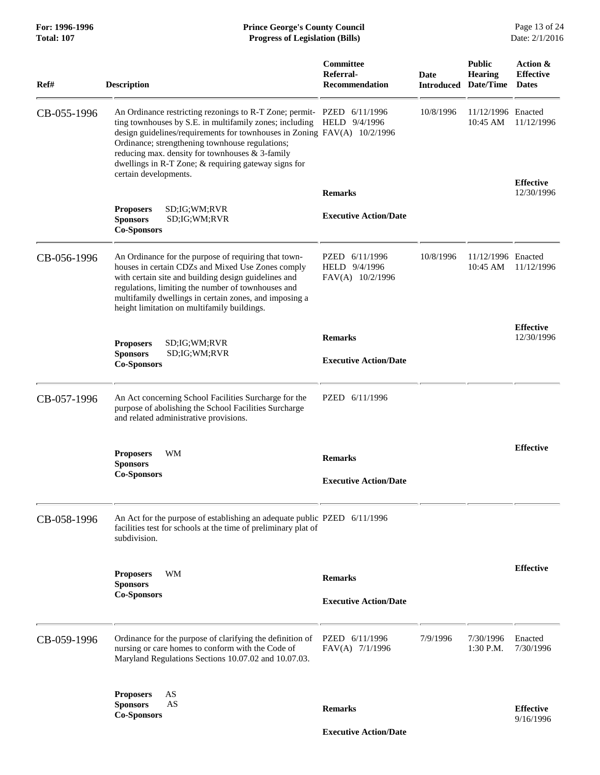## **For: 1996-1996 Prince George's County Council** Page 13 of 24<br> **Prince George's County Council** Page 13 of 24<br> **Progress of Legislation (Bills)** Date: 2/1/2016 **Total: 107 Progress of Legislation (Bills)**

| Ref#        | <b>Description</b>                                                                                                                                                                                                                                                                                                                                                                                                   | Committee<br>Referral-<br><b>Recommendation</b>     | Date<br><b>Introduced</b> | <b>Public</b><br><b>Hearing</b><br>Date/Time | Action &<br><b>Effective</b><br><b>Dates</b> |
|-------------|----------------------------------------------------------------------------------------------------------------------------------------------------------------------------------------------------------------------------------------------------------------------------------------------------------------------------------------------------------------------------------------------------------------------|-----------------------------------------------------|---------------------------|----------------------------------------------|----------------------------------------------|
| CB-055-1996 | An Ordinance restricting rezonings to R-T Zone; permit- PZED 6/11/1996<br>ting townhouses by S.E. in multifamily zones; including HELD 9/4/1996<br>design guidelines/requirements for townhouses in Zoning $FAV(A)$ 10/2/1996<br>Ordinance; strengthening townhouse regulations;<br>reducing max. density for townhouses & 3-family<br>dwellings in R-T Zone; & requiring gateway signs for<br>certain developments. |                                                     | 10/8/1996                 | 11/12/1996 Enacted<br>10:45 AM               | 11/12/1996                                   |
|             |                                                                                                                                                                                                                                                                                                                                                                                                                      | <b>Remarks</b>                                      |                           |                                              | <b>Effective</b><br>12/30/1996               |
|             | <b>Proposers</b><br>SD; IG; WM; RVR<br>SD;IG;WM;RVR<br><b>Sponsors</b><br><b>Co-Sponsors</b>                                                                                                                                                                                                                                                                                                                         | <b>Executive Action/Date</b>                        |                           |                                              |                                              |
| CB-056-1996 | An Ordinance for the purpose of requiring that town-<br>houses in certain CDZs and Mixed Use Zones comply<br>with certain site and building design guidelines and<br>regulations, limiting the number of townhouses and<br>multifamily dwellings in certain zones, and imposing a<br>height limitation on multifamily buildings.                                                                                     | PZED 6/11/1996<br>HELD 9/4/1996<br>FAV(A) 10/2/1996 | 10/8/1996                 | 11/12/1996 Enacted<br>$10:45 \text{ AM}$     | 11/12/1996                                   |
|             |                                                                                                                                                                                                                                                                                                                                                                                                                      | <b>Remarks</b>                                      |                           |                                              | <b>Effective</b><br>12/30/1996               |
|             | <b>Proposers</b><br>SD;IG;WM;RVR<br><b>Sponsors</b><br>SD;IG;WM;RVR<br><b>Co-Sponsors</b>                                                                                                                                                                                                                                                                                                                            | <b>Executive Action/Date</b>                        |                           |                                              |                                              |
| CB-057-1996 | An Act concerning School Facilities Surcharge for the<br>purpose of abolishing the School Facilities Surcharge<br>and related administrative provisions.                                                                                                                                                                                                                                                             | PZED 6/11/1996                                      |                           |                                              |                                              |
|             | <b>Proposers</b><br>WM<br><b>Sponsors</b>                                                                                                                                                                                                                                                                                                                                                                            | <b>Remarks</b>                                      |                           |                                              | <b>Effective</b>                             |
|             | <b>Co-Sponsors</b>                                                                                                                                                                                                                                                                                                                                                                                                   | <b>Executive Action/Date</b>                        |                           |                                              |                                              |
| CB-058-1996 | An Act for the purpose of establishing an adequate public PZED 6/11/1996<br>facilities test for schools at the time of preliminary plat of<br>subdivision.                                                                                                                                                                                                                                                           |                                                     |                           |                                              |                                              |
|             | <b>Proposers</b><br>WM<br><b>Sponsors</b>                                                                                                                                                                                                                                                                                                                                                                            | <b>Remarks</b>                                      |                           |                                              | <b>Effective</b>                             |
|             | <b>Co-Sponsors</b>                                                                                                                                                                                                                                                                                                                                                                                                   | <b>Executive Action/Date</b>                        |                           |                                              |                                              |
| CB-059-1996 | Ordinance for the purpose of clarifying the definition of<br>nursing or care homes to conform with the Code of<br>Maryland Regulations Sections 10.07.02 and 10.07.03.                                                                                                                                                                                                                                               | PZED 6/11/1996<br>FAV(A) 7/1/1996                   | 7/9/1996                  | 7/30/1996<br>1:30 P.M.                       | Enacted<br>7/30/1996                         |
|             | <b>Proposers</b><br>AS<br>AS<br><b>Sponsors</b><br><b>Co-Sponsors</b>                                                                                                                                                                                                                                                                                                                                                | <b>Remarks</b>                                      |                           |                                              | <b>Effective</b><br>9/16/1996                |

 **Executive Action/Date**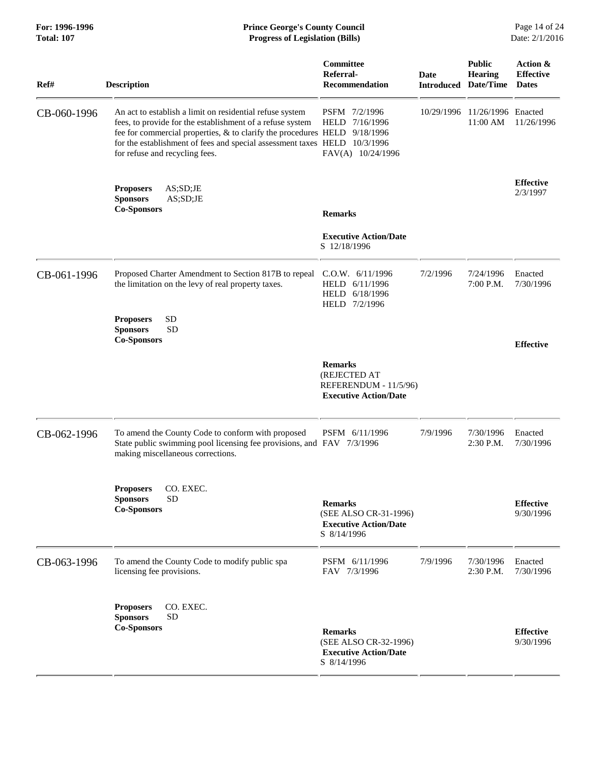|                                                                                                                                                         |                                                                                        |                                                                                                                                                                                                                                                                                                                       |                                 | Page 14 of 24<br>Date: 2/1/2016                              |
|---------------------------------------------------------------------------------------------------------------------------------------------------------|----------------------------------------------------------------------------------------|-----------------------------------------------------------------------------------------------------------------------------------------------------------------------------------------------------------------------------------------------------------------------------------------------------------------------|---------------------------------|--------------------------------------------------------------|
| <b>Description</b>                                                                                                                                      | Committee<br>Referral-<br><b>Recommendation</b>                                        |                                                                                                                                                                                                                                                                                                                       | <b>Public</b><br><b>Hearing</b> | Action &<br><b>Effective</b><br><b>Dates</b>                 |
| An act to establish a limit on residential refuse system<br>fees, to provide for the establishment of a refuse system<br>for refuse and recycling fees. | PSFM 7/2/1996<br>HELD 7/16/1996<br>FAV(A) 10/24/1996                                   |                                                                                                                                                                                                                                                                                                                       | 11:00 AM                        | 11/26/1996                                                   |
| <b>Proposers</b><br>AS;SD;JE<br>AS;SD;JE<br><b>Sponsors</b><br><b>Co-Sponsors</b>                                                                       | <b>Remarks</b>                                                                         |                                                                                                                                                                                                                                                                                                                       |                                 | <b>Effective</b><br>2/3/1997                                 |
|                                                                                                                                                         | <b>Executive Action/Date</b><br>S 12/18/1996                                           |                                                                                                                                                                                                                                                                                                                       |                                 |                                                              |
| Proposed Charter Amendment to Section 817B to repeal<br>the limitation on the levy of real property taxes.                                              | C.0.W. 6/11/1996<br>HELD 6/11/1996<br>HELD 6/18/1996<br>HELD 7/2/1996                  | 7/2/1996                                                                                                                                                                                                                                                                                                              | 7/24/1996<br>7:00 P.M.          | Enacted<br>7/30/1996                                         |
| SD<br><b>Proposers</b><br><b>Sponsors</b><br><b>SD</b><br><b>Co-Sponsors</b>                                                                            |                                                                                        |                                                                                                                                                                                                                                                                                                                       |                                 | <b>Effective</b>                                             |
|                                                                                                                                                         | <b>Remarks</b><br>(REJECTED AT<br><b>Executive Action/Date</b>                         |                                                                                                                                                                                                                                                                                                                       |                                 |                                                              |
| To amend the County Code to conform with proposed<br>making miscellaneous corrections.                                                                  | PSFM 6/11/1996                                                                         | 7/9/1996                                                                                                                                                                                                                                                                                                              | 7/30/1996<br>2:30 P.M.          | Enacted<br>7/30/1996                                         |
| <b>Proposers</b><br>CO. EXEC.<br><b>Sponsors</b><br><b>SD</b><br><b>Co-Sponsors</b>                                                                     | <b>Remarks</b><br>(SEE ALSO CR-31-1996)<br><b>Executive Action/Date</b><br>S 8/14/1996 |                                                                                                                                                                                                                                                                                                                       |                                 | <b>Effective</b><br>9/30/1996                                |
| To amend the County Code to modify public spa<br>licensing fee provisions.                                                                              | PSFM 6/11/1996<br>FAV 7/3/1996                                                         | 7/9/1996                                                                                                                                                                                                                                                                                                              | 7/30/1996<br>2:30 P.M.          | Enacted<br>7/30/1996                                         |
| CO. EXEC.<br><b>Proposers</b><br><b>Sponsors</b><br><b>SD</b><br><b>Co-Sponsors</b>                                                                     | <b>Remarks</b><br>(SEE ALSO CR-32-1996)<br><b>Executive Action/Date</b><br>S 8/14/1996 |                                                                                                                                                                                                                                                                                                                       |                                 | <b>Effective</b><br>9/30/1996                                |
|                                                                                                                                                         |                                                                                        | <b>Prince George's County Council</b><br><b>Progress of Legislation (Bills)</b><br>fee for commercial properties, $\&$ to clarify the procedures HELD 9/18/1996<br>for the establishment of fees and special assessment taxes HELD 10/3/1996<br>State public swimming pool licensing fee provisions, and FAV 7/3/1996 | Date<br>REFERENDUM - 11/5/96)   | <b>Introduced Date/Time</b><br>10/29/1996 11/26/1996 Enacted |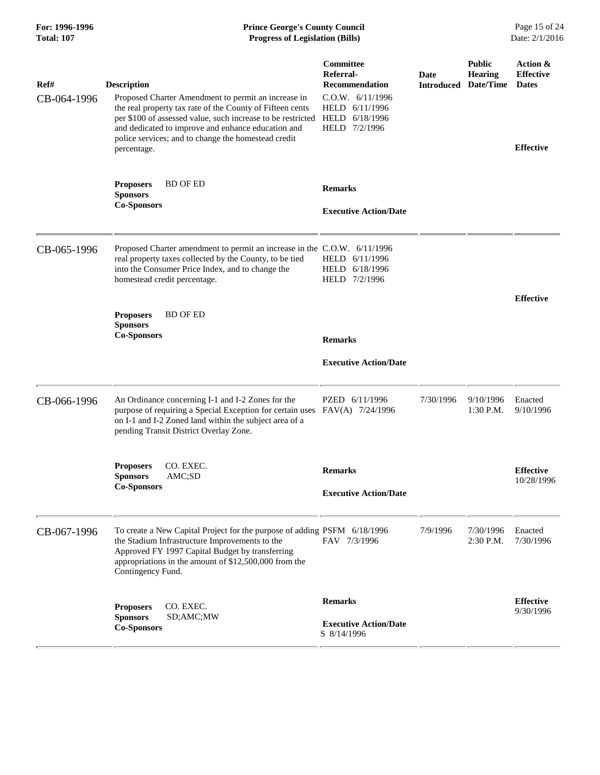| Ref#<br>CB-064-1996 | <b>Description</b><br>Proposed Charter Amendment to permit an increase in<br>the real property tax rate of the County of Fifteen cents<br>per \$100 of assessed value, such increase to be restricted<br>and dedicated to improve and enhance education and<br>police services; and to change the homestead credit<br>percentage. | <b>Committee</b><br>Referral-<br><b>Recommendation</b><br>C.O.W. 6/11/1996<br>HELD 6/11/1996<br>HELD 6/18/1996<br>HELD 7/2/1996 | Date<br><b>Introduced</b> | <b>Public</b><br><b>Hearing</b><br>Date/Time | Action &<br><b>Effective</b><br><b>Dates</b><br><b>Effective</b> |
|---------------------|-----------------------------------------------------------------------------------------------------------------------------------------------------------------------------------------------------------------------------------------------------------------------------------------------------------------------------------|---------------------------------------------------------------------------------------------------------------------------------|---------------------------|----------------------------------------------|------------------------------------------------------------------|
|                     | <b>BD OF ED</b><br><b>Proposers</b><br><b>Sponsors</b><br><b>Co-Sponsors</b>                                                                                                                                                                                                                                                      | <b>Remarks</b><br><b>Executive Action/Date</b>                                                                                  |                           |                                              |                                                                  |
| CB-065-1996         | Proposed Charter amendment to permit an increase in the C.O.W. 6/11/1996<br>real property taxes collected by the County, to be tied<br>into the Consumer Price Index, and to change the<br>homestead credit percentage.                                                                                                           | HELD 6/11/1996<br>HELD 6/18/1996<br>HELD 7/2/1996                                                                               |                           |                                              |                                                                  |
|                     | <b>Proposers</b><br><b>BD OF ED</b><br><b>Sponsors</b><br><b>Co-Sponsors</b>                                                                                                                                                                                                                                                      | <b>Remarks</b><br><b>Executive Action/Date</b>                                                                                  |                           |                                              | <b>Effective</b>                                                 |
| CB-066-1996         | An Ordinance concerning I-1 and I-2 Zones for the<br>purpose of requiring a Special Exception for certain uses<br>on I-1 and I-2 Zoned land within the subject area of a<br>pending Transit District Overlay Zone.                                                                                                                | PZED 6/11/1996<br>FAV(A) 7/24/1996                                                                                              | 7/30/1996                 | 9/10/1996<br>1:30 P.M.                       | Enacted<br>9/10/1996                                             |
|                     | CO. EXEC.<br><b>Proposers</b><br>AMC;SD<br><b>Sponsors</b><br><b>Co-Sponsors</b>                                                                                                                                                                                                                                                  | <b>Remarks</b><br><b>Executive Action/Date</b>                                                                                  |                           |                                              | <b>Effective</b><br>10/28/1996                                   |
| CB-067-1996         | To create a New Capital Project for the purpose of adding PSFM 6/18/1996<br>the Stadium Infrastructure Improvements to the<br>Approved FY 1997 Capital Budget by transferring<br>appropriations in the amount of \$12,500,000 from the<br>Contingency Fund.                                                                       | FAV 7/3/1996                                                                                                                    | 7/9/1996                  | 7/30/1996<br>2:30 P.M.                       | Enacted<br>7/30/1996                                             |
|                     | CO. EXEC.<br><b>Proposers</b><br><b>Sponsors</b><br>SD;AMC;MW<br><b>Co-Sponsors</b>                                                                                                                                                                                                                                               | <b>Remarks</b><br><b>Executive Action/Date</b><br>S 8/14/1996                                                                   |                           |                                              | <b>Effective</b><br>9/30/1996                                    |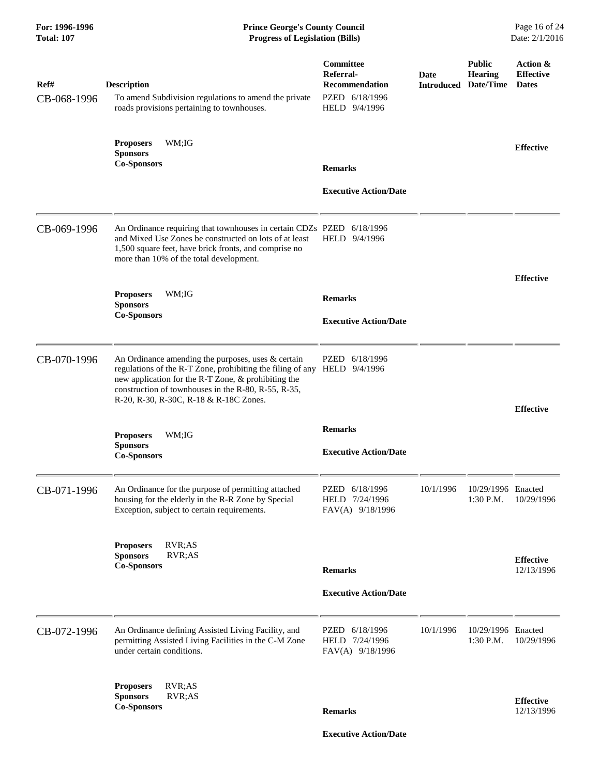| Ref#<br>CB-068-1996 | <b>Description</b><br>To amend Subdivision regulations to amend the private<br>roads provisions pertaining to townhouses.                                                                                                                                                  | Committee<br>Referral-<br><b>Recommendation</b><br>PZED 6/18/1996<br>HELD 9/4/1996 | Date<br><b>Introduced</b> | <b>Public</b><br><b>Hearing</b><br>Date/Time | Action &<br><b>Effective</b><br><b>Dates</b> |
|---------------------|----------------------------------------------------------------------------------------------------------------------------------------------------------------------------------------------------------------------------------------------------------------------------|------------------------------------------------------------------------------------|---------------------------|----------------------------------------------|----------------------------------------------|
|                     | WM;IG<br><b>Proposers</b><br><b>Sponsors</b><br><b>Co-Sponsors</b>                                                                                                                                                                                                         | <b>Remarks</b><br><b>Executive Action/Date</b>                                     |                           |                                              | <b>Effective</b>                             |
| CB-069-1996         | An Ordinance requiring that townhouses in certain CDZs PZED<br>and Mixed Use Zones be constructed on lots of at least<br>1,500 square feet, have brick fronts, and comprise no<br>more than 10% of the total development.                                                  | 6/18/1996<br>HELD 9/4/1996                                                         |                           |                                              |                                              |
|                     | <b>Proposers</b><br>WM;IG<br><b>Sponsors</b><br><b>Co-Sponsors</b>                                                                                                                                                                                                         | <b>Remarks</b><br><b>Executive Action/Date</b>                                     |                           |                                              | <b>Effective</b>                             |
| CB-070-1996         | An Ordinance amending the purposes, uses $&$ certain<br>regulations of the R-T Zone, prohibiting the filing of any<br>new application for the R-T Zone, & prohibiting the<br>construction of townhouses in the R-80, R-55, R-35,<br>R-20, R-30, R-30C, R-18 & R-18C Zones. | PZED<br>6/18/1996<br>HELD 9/4/1996                                                 |                           |                                              | <b>Effective</b>                             |
|                     | <b>Proposers</b><br>WM;IG<br><b>Sponsors</b><br><b>Co-Sponsors</b>                                                                                                                                                                                                         | <b>Remarks</b><br><b>Executive Action/Date</b>                                     |                           |                                              |                                              |
| CB-071-1996         | An Ordinance for the purpose of permitting attached<br>housing for the elderly in the R-R Zone by Special<br>Exception, subject to certain requirements.                                                                                                                   | PZED 6/18/1996<br>HELD 7/24/1996<br>FAV(A) 9/18/1996                               | 10/1/1996                 | 10/29/1996 Enacted<br>1:30 P.M.              | 10/29/1996                                   |
|                     | RVR;AS<br><b>Proposers</b><br><b>Sponsors</b><br>RVR;AS<br><b>Co-Sponsors</b>                                                                                                                                                                                              | <b>Remarks</b><br><b>Executive Action/Date</b>                                     |                           |                                              | <b>Effective</b><br>12/13/1996               |
| CB-072-1996         | An Ordinance defining Assisted Living Facility, and<br>permitting Assisted Living Facilities in the C-M Zone<br>under certain conditions.                                                                                                                                  | PZED 6/18/1996<br>HELD 7/24/1996<br>FAV(A) 9/18/1996                               | 10/1/1996                 | 10/29/1996 Enacted<br>1:30 P.M.              | 10/29/1996                                   |
|                     | RVR;AS<br><b>Proposers</b><br><b>Sponsors</b><br>RVR;AS<br><b>Co-Sponsors</b>                                                                                                                                                                                              | <b>Remarks</b>                                                                     |                           |                                              | <b>Effective</b><br>12/13/1996               |

 **Executive Action/Date**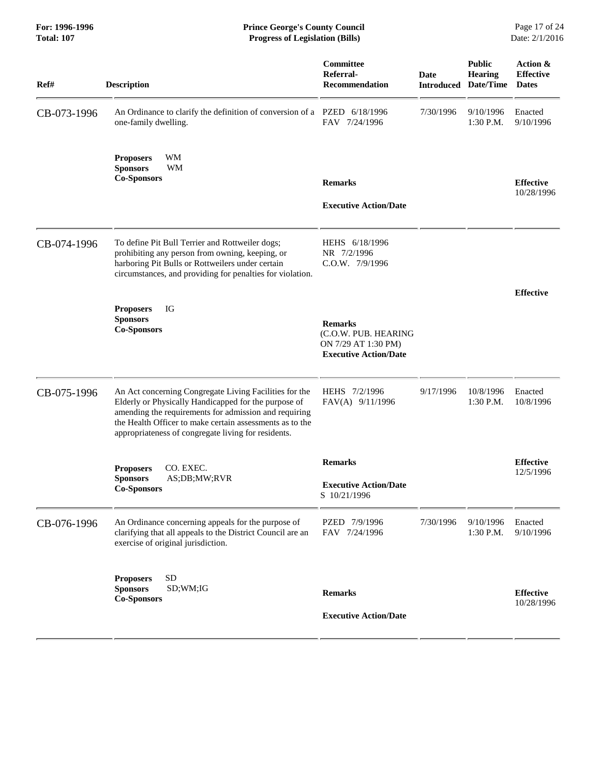### **For: 1996-1996 Prince George's County Council** Page 17 of 24<br> **Prince George's County Council** Page 17 of 24<br> **Progress of Legislation (Bills)** Date: 2/1/2016 **Total: 107 Progress of Legislation (Bills)**

| Ref#        | <b>Description</b>                                                                                                                                                                                                                                                                         | Committee<br>Referral-<br><b>Recommendation</b>                                               | <b>Date</b><br><b>Introduced</b> | <b>Public</b><br>Hearing<br>Date/Time | Action &<br><b>Effective</b><br><b>Dates</b> |
|-------------|--------------------------------------------------------------------------------------------------------------------------------------------------------------------------------------------------------------------------------------------------------------------------------------------|-----------------------------------------------------------------------------------------------|----------------------------------|---------------------------------------|----------------------------------------------|
| CB-073-1996 | An Ordinance to clarify the definition of conversion of a PZED 6/18/1996<br>one-family dwelling.                                                                                                                                                                                           | FAV 7/24/1996                                                                                 | 7/30/1996                        | 9/10/1996<br>$1:30$ P.M.              | Enacted<br>9/10/1996                         |
|             | WM<br><b>Proposers</b><br><b>Sponsors</b><br><b>WM</b><br><b>Co-Sponsors</b>                                                                                                                                                                                                               | <b>Remarks</b><br><b>Executive Action/Date</b>                                                |                                  |                                       | <b>Effective</b><br>10/28/1996               |
| CB-074-1996 | To define Pit Bull Terrier and Rottweiler dogs;<br>prohibiting any person from owning, keeping, or<br>harboring Pit Bulls or Rottweilers under certain<br>circumstances, and providing for penalties for violation.                                                                        | HEHS 6/18/1996<br>NR 7/2/1996<br>C.O.W. 7/9/1996                                              |                                  |                                       |                                              |
|             | IG<br><b>Proposers</b><br><b>Sponsors</b><br><b>Co-Sponsors</b>                                                                                                                                                                                                                            | <b>Remarks</b><br>(C.O.W. PUB. HEARING<br>ON 7/29 AT 1:30 PM)<br><b>Executive Action/Date</b> |                                  |                                       | <b>Effective</b>                             |
| CB-075-1996 | An Act concerning Congregate Living Facilities for the<br>Elderly or Physically Handicapped for the purpose of<br>amending the requirements for admission and requiring<br>the Health Officer to make certain assessments as to the<br>appropriateness of congregate living for residents. | HEHS 7/2/1996<br>FAV(A) 9/11/1996                                                             | 9/17/1996                        | 10/8/1996<br>1:30 P.M.                | Enacted<br>10/8/1996                         |
|             | CO. EXEC.<br><b>Proposers</b><br>AS;DB;MW;RVR<br><b>Sponsors</b><br><b>Co-Sponsors</b>                                                                                                                                                                                                     | <b>Remarks</b><br><b>Executive Action/Date</b><br>S 10/21/1996                                |                                  |                                       | <b>Effective</b><br>12/5/1996                |
| CB-076-1996 | An Ordinance concerning appeals for the purpose of<br>clarifying that all appeals to the District Council are an<br>exercise of original jurisdiction.                                                                                                                                     | PZED 7/9/1996<br>FAV 7/24/1996                                                                | 7/30/1996                        | 9/10/1996<br>1:30 P.M.                | Enacted<br>9/10/1996                         |
|             | <b>SD</b><br><b>Proposers</b><br><b>Sponsors</b><br>SD;WM;IG<br><b>Co-Sponsors</b>                                                                                                                                                                                                         | <b>Remarks</b><br><b>Executive Action/Date</b>                                                |                                  |                                       | <b>Effective</b><br>10/28/1996               |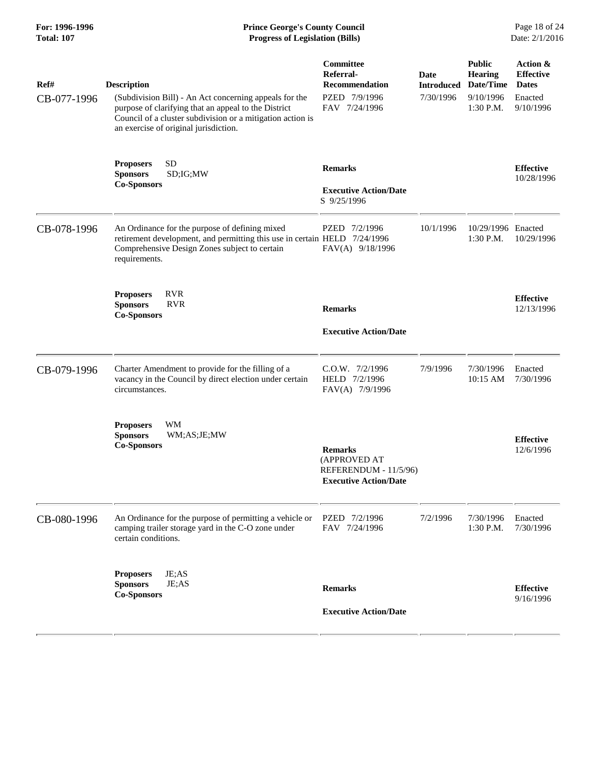# **For: 1996-1996 Prince George's County Council** Page 18 of 24<br> **Prince George's County Council** Page 18 of 24<br> **Progress of Legislation (Bills)** Date: 2/1/2016 **Total: 107 Progress of Legislation (Bills)**

| Ref#<br>CB-077-1996 | <b>Description</b><br>(Subdivision Bill) - An Act concerning appeals for the<br>purpose of clarifying that an appeal to the District                                                          | Committee<br>Referral-<br><b>Recommendation</b><br>PZED 7/9/1996<br>FAV 7/24/1996       | <b>Date</b><br><b>Introduced</b><br>7/30/1996 | <b>Public</b><br>Hearing<br>Date/Time<br>9/10/1996<br>1:30 P.M. | Action &<br><b>Effective</b><br><b>Dates</b><br>Enacted<br>9/10/1996 |
|---------------------|-----------------------------------------------------------------------------------------------------------------------------------------------------------------------------------------------|-----------------------------------------------------------------------------------------|-----------------------------------------------|-----------------------------------------------------------------|----------------------------------------------------------------------|
|                     | Council of a cluster subdivision or a mitigation action is<br>an exercise of original jurisdiction.                                                                                           |                                                                                         |                                               |                                                                 |                                                                      |
|                     | SD<br><b>Proposers</b><br><b>Sponsors</b><br>SD;IG;MW<br><b>Co-Sponsors</b>                                                                                                                   | <b>Remarks</b><br><b>Executive Action/Date</b>                                          |                                               |                                                                 | <b>Effective</b><br>10/28/1996                                       |
|                     |                                                                                                                                                                                               | S 9/25/1996                                                                             |                                               |                                                                 |                                                                      |
| CB-078-1996         | An Ordinance for the purpose of defining mixed<br>retirement development, and permitting this use in certain HELD 7/24/1996<br>Comprehensive Design Zones subject to certain<br>requirements. | PZED 7/2/1996<br>FAV(A) 9/18/1996                                                       | 10/1/1996                                     | 10/29/1996 Enacted<br>1:30 P.M.                                 | 10/29/1996                                                           |
|                     | <b>RVR</b><br><b>Proposers</b><br><b>RVR</b><br><b>Sponsors</b><br><b>Co-Sponsors</b>                                                                                                         | <b>Remarks</b>                                                                          |                                               |                                                                 | <b>Effective</b><br>12/13/1996                                       |
|                     |                                                                                                                                                                                               | <b>Executive Action/Date</b>                                                            |                                               |                                                                 |                                                                      |
| CB-079-1996         | Charter Amendment to provide for the filling of a<br>vacancy in the Council by direct election under certain<br>circumstances.                                                                | C.O.W. 7/2/1996<br>HELD 7/2/1996<br>FAV(A) 7/9/1996                                     | 7/9/1996                                      | 7/30/1996<br>10:15 AM                                           | Enacted<br>7/30/1996                                                 |
|                     | <b>WM</b><br><b>Proposers</b><br><b>Sponsors</b><br>WM;AS;JE;MW<br><b>Co-Sponsors</b>                                                                                                         | <b>Remarks</b><br>(APPROVED AT<br>REFERENDUM - 11/5/96)<br><b>Executive Action/Date</b> |                                               |                                                                 | <b>Effective</b><br>12/6/1996                                        |
| CB-080-1996         | An Ordinance for the purpose of permitting a vehicle or<br>camping trailer storage yard in the C-O zone under<br>certain conditions.                                                          | PZED 7/2/1996<br>FAV 7/24/1996                                                          | 7/2/1996                                      | 7/30/1996<br>1:30 P.M.                                          | Enacted<br>7/30/1996                                                 |
|                     | <b>Proposers</b><br>JE;AS<br>JE;AS<br><b>Sponsors</b>                                                                                                                                         | <b>Remarks</b>                                                                          |                                               |                                                                 | <b>Effective</b>                                                     |
|                     | <b>Co-Sponsors</b>                                                                                                                                                                            | <b>Executive Action/Date</b>                                                            |                                               |                                                                 | 9/16/1996                                                            |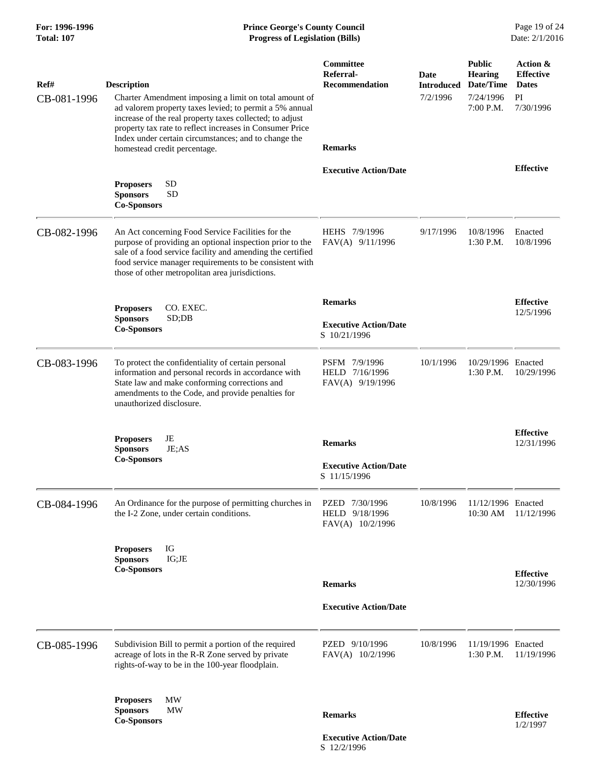| For: 1996-1996<br><b>Total: 107</b> | <b>Prince George's County Council</b><br><b>Progress of Legislation (Bills)</b>                                                                                                                                                                                                                                                                        |                                                                   |                                       |                                                                        | Page 19 of 24<br>Date: 2/1/2016                                 |
|-------------------------------------|--------------------------------------------------------------------------------------------------------------------------------------------------------------------------------------------------------------------------------------------------------------------------------------------------------------------------------------------------------|-------------------------------------------------------------------|---------------------------------------|------------------------------------------------------------------------|-----------------------------------------------------------------|
| Ref#<br>CB-081-1996                 | <b>Description</b><br>Charter Amendment imposing a limit on total amount of<br>ad valorem property taxes levied; to permit a 5% annual<br>increase of the real property taxes collected; to adjust<br>property tax rate to reflect increases in Consumer Price<br>Index under certain circumstances; and to change the<br>homestead credit percentage. | <b>Committee</b><br>Referral-<br>Recommendation<br><b>Remarks</b> | Date<br><b>Introduced</b><br>7/2/1996 | <b>Public</b><br><b>Hearing</b><br>Date/Time<br>7/24/1996<br>7:00 P.M. | Action &<br><b>Effective</b><br><b>Dates</b><br>PI<br>7/30/1996 |
|                                     |                                                                                                                                                                                                                                                                                                                                                        | <b>Executive Action/Date</b>                                      |                                       |                                                                        | <b>Effective</b>                                                |
|                                     | <b>SD</b><br><b>Proposers</b><br><b>SD</b><br><b>Sponsors</b><br><b>Co-Sponsors</b>                                                                                                                                                                                                                                                                    |                                                                   |                                       |                                                                        |                                                                 |
| CB-082-1996                         | An Act concerning Food Service Facilities for the<br>purpose of providing an optional inspection prior to the<br>sale of a food service facility and amending the certified<br>food service manager requirements to be consistent with<br>those of other metropolitan area jurisdictions.                                                              | HEHS 7/9/1996<br>FAV(A) 9/11/1996                                 | 9/17/1996                             | 10/8/1996<br>$1:30$ P.M.                                               | Enacted<br>10/8/1996                                            |
|                                     | CO. EXEC.<br><b>Proposers</b>                                                                                                                                                                                                                                                                                                                          | <b>Remarks</b>                                                    |                                       |                                                                        | <b>Effective</b>                                                |
|                                     | <b>Sponsors</b><br>SD;DB<br><b>Co-Sponsors</b>                                                                                                                                                                                                                                                                                                         | <b>Executive Action/Date</b><br>S 10/21/1996                      |                                       |                                                                        | 12/5/1996                                                       |
| CB-083-1996                         | To protect the confidentiality of certain personal<br>information and personal records in accordance with<br>State law and make conforming corrections and<br>amendments to the Code, and provide penalties for<br>unauthorized disclosure.                                                                                                            | PSFM 7/9/1996<br>HELD 7/16/1996<br>FAV(A) 9/19/1996               | 10/1/1996                             | 10/29/1996 Enacted<br>1:30 P.M.                                        | 10/29/1996                                                      |
|                                     | <b>Proposers</b><br>JE<br>JE;AS<br><b>Sponsors</b>                                                                                                                                                                                                                                                                                                     | <b>Remarks</b>                                                    |                                       |                                                                        | <b>Effective</b><br>12/31/1996                                  |
|                                     | <b>Co-Sponsors</b>                                                                                                                                                                                                                                                                                                                                     | <b>Executive Action/Date</b><br>S 11/15/1996                      |                                       |                                                                        |                                                                 |
| CB-084-1996                         | An Ordinance for the purpose of permitting churches in<br>the I-2 Zone, under certain conditions.                                                                                                                                                                                                                                                      | PZED 7/30/1996<br>HELD 9/18/1996<br>FAV(A) 10/2/1996              | 10/8/1996                             | 11/12/1996 Enacted<br>10:30 AM                                         | 11/12/1996                                                      |
|                                     | IG<br><b>Proposers</b>                                                                                                                                                                                                                                                                                                                                 |                                                                   |                                       |                                                                        |                                                                 |
|                                     | <b>Sponsors</b><br>IG;JE<br><b>Co-Sponsors</b>                                                                                                                                                                                                                                                                                                         |                                                                   |                                       |                                                                        | <b>Effective</b>                                                |
|                                     |                                                                                                                                                                                                                                                                                                                                                        | <b>Remarks</b>                                                    |                                       |                                                                        | 12/30/1996                                                      |
|                                     |                                                                                                                                                                                                                                                                                                                                                        | <b>Executive Action/Date</b>                                      |                                       |                                                                        |                                                                 |
| CB-085-1996                         | Subdivision Bill to permit a portion of the required<br>acreage of lots in the R-R Zone served by private<br>rights-of-way to be in the 100-year floodplain.                                                                                                                                                                                           | PZED 9/10/1996<br>FAV(A) 10/2/1996                                | 10/8/1996                             | 11/19/1996 Enacted<br>$1:30$ P.M.                                      | 11/19/1996                                                      |
|                                     | <b>MW</b><br><b>Proposers</b><br><b>MW</b><br><b>Sponsors</b><br><b>Co-Sponsors</b>                                                                                                                                                                                                                                                                    | <b>Remarks</b>                                                    |                                       |                                                                        | <b>Effective</b><br>1/2/1997                                    |

 **Executive Action/Date** S 12/2/1996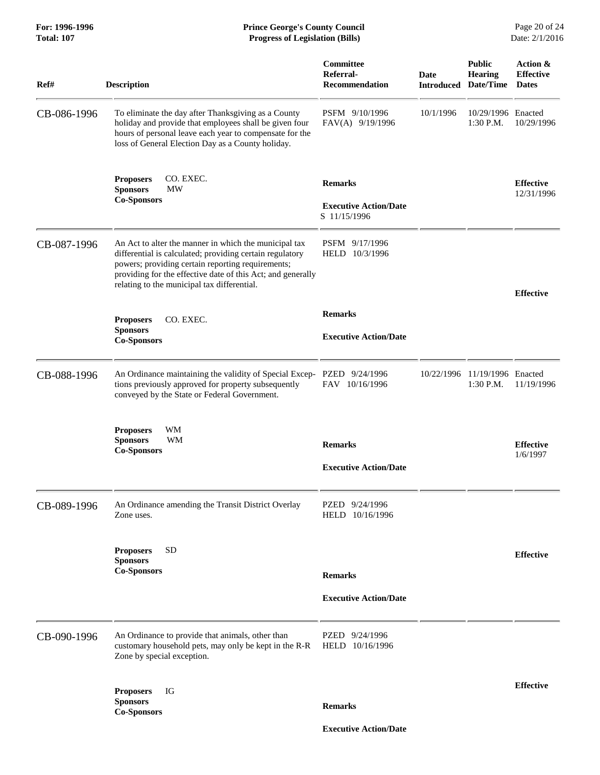| For: 1996-1996<br>Total: 107 | <b>Prince George's County Council</b><br><b>Progress of Legislation (Bills)</b>                                                                                                                                                                                                      |                                                                |             |                                                                | Page 20 of 24<br>Date: 2/1/2016              |
|------------------------------|--------------------------------------------------------------------------------------------------------------------------------------------------------------------------------------------------------------------------------------------------------------------------------------|----------------------------------------------------------------|-------------|----------------------------------------------------------------|----------------------------------------------|
| Ref#                         | <b>Description</b>                                                                                                                                                                                                                                                                   | Committee<br>Referral-<br><b>Recommendation</b>                | <b>Date</b> | <b>Public</b><br><b>Hearing</b><br><b>Introduced Date/Time</b> | Action &<br><b>Effective</b><br><b>Dates</b> |
| CB-086-1996                  | To eliminate the day after Thanksgiving as a County<br>holiday and provide that employees shall be given four<br>hours of personal leave each year to compensate for the<br>loss of General Election Day as a County holiday.                                                        | PSFM 9/10/1996<br>FAV(A) 9/19/1996                             | 10/1/1996   | 10/29/1996 Enacted<br>1:30 P.M.                                | 10/29/1996                                   |
|                              | CO. EXEC.<br><b>Proposers</b><br><b>MW</b><br><b>Sponsors</b><br><b>Co-Sponsors</b>                                                                                                                                                                                                  | <b>Remarks</b><br><b>Executive Action/Date</b><br>S 11/15/1996 |             |                                                                | <b>Effective</b><br>12/31/1996               |
| CB-087-1996                  | An Act to alter the manner in which the municipal tax<br>differential is calculated; providing certain regulatory<br>powers; providing certain reporting requirements;<br>providing for the effective date of this Act; and generally<br>relating to the municipal tax differential. | PSFM 9/17/1996<br>HELD 10/3/1996                               |             |                                                                | <b>Effective</b>                             |
|                              | CO. EXEC.<br><b>Proposers</b>                                                                                                                                                                                                                                                        | <b>Remarks</b>                                                 |             |                                                                |                                              |
|                              | <b>Sponsors</b><br><b>Co-Sponsors</b>                                                                                                                                                                                                                                                | <b>Executive Action/Date</b>                                   |             |                                                                |                                              |
| CB-088-1996                  | An Ordinance maintaining the validity of Special Excep- PZED 9/24/1996<br>tions previously approved for property subsequently<br>conveyed by the State or Federal Government.                                                                                                        | FAV 10/16/1996                                                 |             | 10/22/1996 11/19/1996 Enacted<br>1:30 P.M.                     | 11/19/1996                                   |
|                              | WM<br><b>Proposers</b><br><b>Sponsors</b><br>WM                                                                                                                                                                                                                                      | <b>Remarks</b>                                                 |             |                                                                | <b>Effective</b>                             |
|                              | <b>Co-Sponsors</b>                                                                                                                                                                                                                                                                   |                                                                |             |                                                                | 1/6/1997                                     |
|                              |                                                                                                                                                                                                                                                                                      | <b>Executive Action/Date</b>                                   |             |                                                                |                                              |
| CB-089-1996                  | An Ordinance amending the Transit District Overlay<br>Zone uses.                                                                                                                                                                                                                     | PZED 9/24/1996<br>HELD 10/16/1996                              |             |                                                                |                                              |
|                              | <b>SD</b><br><b>Proposers</b><br><b>Sponsors</b>                                                                                                                                                                                                                                     |                                                                |             |                                                                | <b>Effective</b>                             |
|                              | <b>Co-Sponsors</b>                                                                                                                                                                                                                                                                   | <b>Remarks</b>                                                 |             |                                                                |                                              |
|                              |                                                                                                                                                                                                                                                                                      | <b>Executive Action/Date</b>                                   |             |                                                                |                                              |
| CB-090-1996                  | An Ordinance to provide that animals, other than<br>customary household pets, may only be kept in the R-R<br>Zone by special exception.                                                                                                                                              | PZED 9/24/1996<br>HELD 10/16/1996                              |             |                                                                |                                              |
|                              | <b>Proposers</b><br>IG                                                                                                                                                                                                                                                               |                                                                |             |                                                                | <b>Effective</b>                             |
|                              | <b>Sponsors</b><br><b>Co-Sponsors</b>                                                                                                                                                                                                                                                | <b>Remarks</b>                                                 |             |                                                                |                                              |
|                              |                                                                                                                                                                                                                                                                                      | <b>Executive Action/Date</b>                                   |             |                                                                |                                              |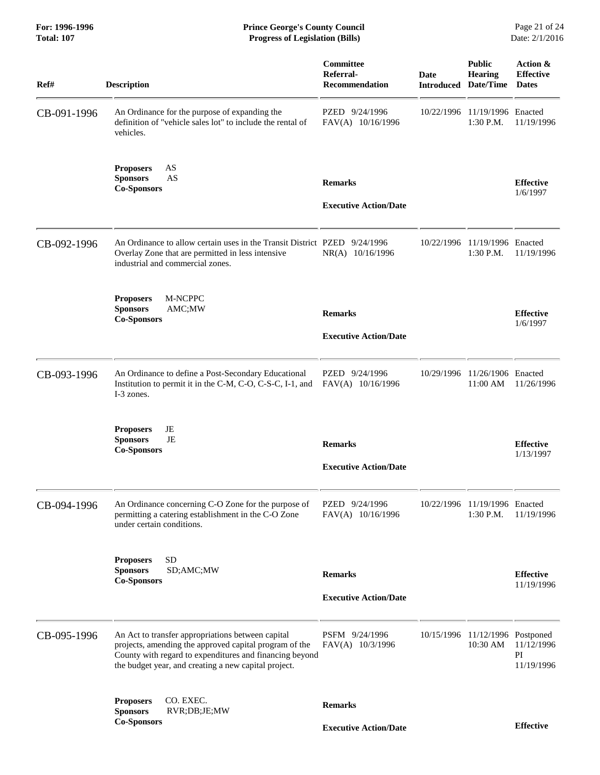| Ref#        | <b>Description</b>                                                                                                                                                                                                             | Committee<br>Referral-<br><b>Recommendation</b> | <b>Date</b> | <b>Public</b><br><b>Hearing</b><br><b>Introduced Date/Time</b> | Action &<br><b>Effective</b><br><b>Dates</b> |
|-------------|--------------------------------------------------------------------------------------------------------------------------------------------------------------------------------------------------------------------------------|-------------------------------------------------|-------------|----------------------------------------------------------------|----------------------------------------------|
| CB-091-1996 | An Ordinance for the purpose of expanding the<br>definition of "vehicle sales lot" to include the rental of<br>vehicles.                                                                                                       | PZED 9/24/1996<br>FAV(A) 10/16/1996             | 10/22/1996  | 11/19/1996 Enacted<br>1:30 P.M.                                | 11/19/1996                                   |
|             | <b>Proposers</b><br>AS<br>AS<br><b>Sponsors</b><br><b>Co-Sponsors</b>                                                                                                                                                          | <b>Remarks</b><br><b>Executive Action/Date</b>  |             |                                                                | <b>Effective</b><br>1/6/1997                 |
| CB-092-1996 | An Ordinance to allow certain uses in the Transit District PZED 9/24/1996<br>Overlay Zone that are permitted in less intensive<br>industrial and commercial zones.                                                             | $NR(A)$ 10/16/1996                              |             | 10/22/1996 11/19/1996 Enacted<br>1:30 P.M.                     | 11/19/1996                                   |
|             | M-NCPPC<br><b>Proposers</b><br><b>Sponsors</b><br>AMC;MW<br><b>Co-Sponsors</b>                                                                                                                                                 | <b>Remarks</b><br><b>Executive Action/Date</b>  |             |                                                                | <b>Effective</b><br>1/6/1997                 |
| CB-093-1996 | An Ordinance to define a Post-Secondary Educational<br>Institution to permit it in the C-M, C-O, C-S-C, I-1, and<br>I-3 zones.                                                                                                 | PZED 9/24/1996<br>FAV(A) 10/16/1996             |             | 10/29/1996 11/26/1906 Enacted<br>11:00 AM                      | 11/26/1996                                   |
|             | <b>Proposers</b><br>JE<br>JE<br><b>Sponsors</b><br><b>Co-Sponsors</b>                                                                                                                                                          | <b>Remarks</b><br><b>Executive Action/Date</b>  |             |                                                                | <b>Effective</b><br>1/13/1997                |
| CB-094-1996 | An Ordinance concerning C-O Zone for the purpose of<br>permitting a catering establishment in the C-O Zone<br>under certain conditions.                                                                                        | PZED 9/24/1996<br>FAV(A) 10/16/1996             |             | 10/22/1996 11/19/1996 Enacted<br>1:30 P.M.                     | 11/19/1996                                   |
|             | <b>SD</b><br><b>Proposers</b><br><b>Sponsors</b><br>SD;AMC;MW<br><b>Co-Sponsors</b>                                                                                                                                            | <b>Remarks</b><br><b>Executive Action/Date</b>  |             |                                                                | <b>Effective</b><br>11/19/1996               |
| CB-095-1996 | An Act to transfer appropriations between capital<br>projects, amending the approved capital program of the<br>County with regard to expenditures and financing beyond<br>the budget year, and creating a new capital project. | PSFM 9/24/1996<br>FAV(A) 10/3/1996              | 10/15/1996  | 11/12/1996 Postponed<br>10:30 AM                               | 11/12/1996<br>PI<br>11/19/1996               |
|             | CO. EXEC.<br><b>Proposers</b><br><b>Sponsors</b><br>RVR;DB;JE;MW                                                                                                                                                               | <b>Remarks</b>                                  |             |                                                                |                                              |
|             | <b>Co-Sponsors</b>                                                                                                                                                                                                             | <b>Executive Action/Date</b>                    |             |                                                                | <b>Effective</b>                             |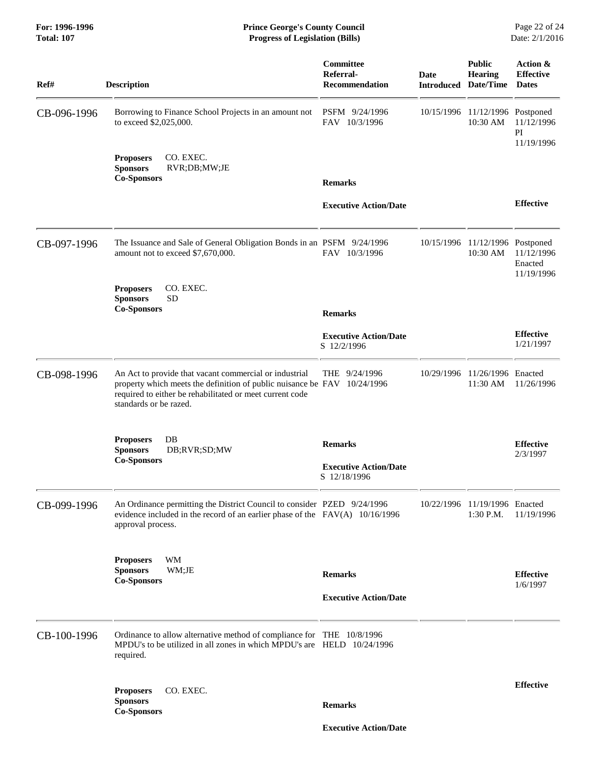#### **For: 1996-1996 Prince George's County Council** Page 22 of 24<br> **Prince George's County Council** Page 22 of 24<br> **Progress of Legislation (Bills)** Date: 2/1/2016 **Total: 107 Progress of Legislation (Bills)**

| Ref#        | <b>Description</b>                                                                                                                                                                                                       | Committee<br>Referral-<br><b>Recommendation</b> | Date<br><b>Introduced</b> | <b>Public</b><br><b>Hearing</b><br>Date/Time | <b>Action &amp;</b><br><b>Effective</b><br><b>Dates</b> |
|-------------|--------------------------------------------------------------------------------------------------------------------------------------------------------------------------------------------------------------------------|-------------------------------------------------|---------------------------|----------------------------------------------|---------------------------------------------------------|
| CB-096-1996 | Borrowing to Finance School Projects in an amount not<br>to exceed \$2,025,000.                                                                                                                                          | PSFM 9/24/1996<br>FAV 10/3/1996                 | 10/15/1996                | 11/12/1996 Postponed<br>10:30 AM             | 11/12/1996<br>$\mathbf{P}\mathbf{I}$<br>11/19/1996      |
|             | CO. EXEC.<br><b>Proposers</b><br><b>Sponsors</b><br>RVR;DB;MW;JE<br><b>Co-Sponsors</b>                                                                                                                                   |                                                 |                           |                                              |                                                         |
|             |                                                                                                                                                                                                                          | <b>Remarks</b>                                  |                           |                                              |                                                         |
|             |                                                                                                                                                                                                                          | <b>Executive Action/Date</b>                    |                           |                                              | <b>Effective</b>                                        |
| CB-097-1996 | The Issuance and Sale of General Obligation Bonds in an PSFM 9/24/1996<br>amount not to exceed \$7,670,000.                                                                                                              | FAV 10/3/1996                                   | 10/15/1996                | 11/12/1996 Postponed<br>10:30 AM             | 11/12/1996<br>Enacted<br>11/19/1996                     |
|             | <b>Proposers</b><br>CO. EXEC.<br><b>SD</b><br><b>Sponsors</b>                                                                                                                                                            |                                                 |                           |                                              |                                                         |
|             | <b>Co-Sponsors</b>                                                                                                                                                                                                       | <b>Remarks</b>                                  |                           |                                              |                                                         |
|             |                                                                                                                                                                                                                          | <b>Executive Action/Date</b><br>S 12/2/1996     |                           |                                              | <b>Effective</b><br>1/21/1997                           |
| CB-098-1996 | An Act to provide that vacant commercial or industrial<br>property which meets the definition of public nuisance be FAV 10/24/1996<br>required to either be rehabilitated or meet current code<br>standards or be razed. | THE 9/24/1996                                   | 10/29/1996                | 11/26/1996 Enacted<br>11:30 AM               | 11/26/1996                                              |
|             | DB<br><b>Proposers</b><br><b>Sponsors</b><br>DB;RVR;SD;MW                                                                                                                                                                | <b>Remarks</b>                                  |                           |                                              | <b>Effective</b>                                        |
|             | <b>Co-Sponsors</b>                                                                                                                                                                                                       | <b>Executive Action/Date</b><br>S 12/18/1996    |                           |                                              | 2/3/1997                                                |
| CB-099-1996 | An Ordinance permitting the District Council to consider PZED 9/24/1996<br>evidence included in the record of an earlier phase of the $FAV(A)$ 10/16/1996<br>approval process.                                           |                                                 |                           | 10/22/1996 11/19/1996 Enacted<br>1:30 P.M.   | 11/19/1996                                              |
|             | WM<br><b>Proposers</b><br><b>Sponsors</b><br>WM;JE                                                                                                                                                                       |                                                 |                           |                                              |                                                         |
|             | <b>Co-Sponsors</b>                                                                                                                                                                                                       | <b>Remarks</b>                                  |                           |                                              | <b>Effective</b><br>1/6/1997                            |
|             |                                                                                                                                                                                                                          | <b>Executive Action/Date</b>                    |                           |                                              |                                                         |
| CB-100-1996 | Ordinance to allow alternative method of compliance for THE 10/8/1996<br>MPDU's to be utilized in all zones in which MPDU's are $HELD$ 10/24/1996<br>required.                                                           |                                                 |                           |                                              |                                                         |
|             |                                                                                                                                                                                                                          |                                                 |                           |                                              | <b>Effective</b>                                        |
|             | CO. EXEC.<br><b>Proposers</b><br><b>Sponsors</b><br><b>Co-Sponsors</b>                                                                                                                                                   | <b>Remarks</b>                                  |                           |                                              |                                                         |
|             |                                                                                                                                                                                                                          | <b>Executive Action/Date</b>                    |                           |                                              |                                                         |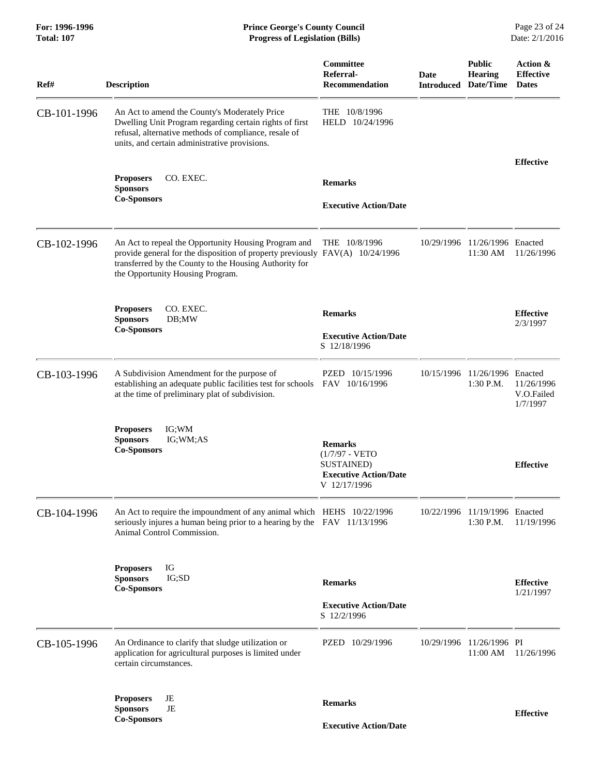| For: 1996-1996<br><b>Total: 107</b> | <b>Prince George's County Council</b><br><b>Progress of Legislation (Bills)</b>                                                                                                                                                    |                                                                                                  |             |                                                         | Page 23 of 24<br>Date: 2/1/2016              |
|-------------------------------------|------------------------------------------------------------------------------------------------------------------------------------------------------------------------------------------------------------------------------------|--------------------------------------------------------------------------------------------------|-------------|---------------------------------------------------------|----------------------------------------------|
| Ref#                                | <b>Description</b>                                                                                                                                                                                                                 | Committee<br>Referral-<br><b>Recommendation</b>                                                  | <b>Date</b> | <b>Public</b><br>Hearing<br><b>Introduced Date/Time</b> | Action &<br><b>Effective</b><br><b>Dates</b> |
| CB-101-1996                         | An Act to amend the County's Moderately Price<br>Dwelling Unit Program regarding certain rights of first<br>refusal, alternative methods of compliance, resale of<br>units, and certain administrative provisions.                 | THE 10/8/1996<br>HELD 10/24/1996                                                                 |             |                                                         |                                              |
|                                     | CO. EXEC.<br><b>Proposers</b><br><b>Sponsors</b><br><b>Co-Sponsors</b>                                                                                                                                                             | <b>Remarks</b><br><b>Executive Action/Date</b>                                                   |             |                                                         | <b>Effective</b>                             |
| CB-102-1996                         | An Act to repeal the Opportunity Housing Program and<br>provide general for the disposition of property previously FAV(A) 10/24/1996<br>transferred by the County to the Housing Authority for<br>the Opportunity Housing Program. | THE 10/8/1996                                                                                    | 10/29/1996  | 11/26/1996 Enacted<br>11:30 AM                          | 11/26/1996                                   |
|                                     | <b>Proposers</b><br>CO. EXEC.<br><b>Sponsors</b><br>DB;MW<br><b>Co-Sponsors</b>                                                                                                                                                    | <b>Remarks</b><br><b>Executive Action/Date</b><br>S 12/18/1996                                   |             |                                                         | <b>Effective</b><br>2/3/1997                 |
| CB-103-1996                         | A Subdivision Amendment for the purpose of<br>establishing an adequate public facilities test for schools<br>at the time of preliminary plat of subdivision.                                                                       | PZED 10/15/1996<br>FAV 10/16/1996                                                                | 10/15/1996  | 11/26/1996 Enacted<br>$1:30$ P.M.                       | 11/26/1996<br>V.O.Failed<br>1/7/1997         |
|                                     | <b>Proposers</b><br>IG;WM<br>IG;WM;AS<br><b>Sponsors</b><br><b>Co-Sponsors</b>                                                                                                                                                     | <b>Remarks</b><br>$(1/7/97 - VETO$<br>SUSTAINED)<br><b>Executive Action/Date</b><br>V 12/17/1996 |             |                                                         | <b>Effective</b>                             |
| CB-104-1996                         | An Act to require the impoundment of any animal which HEHS 10/22/1996<br>seriously injures a human being prior to a hearing by the FAV 11/13/1996<br>Animal Control Commission.                                                    |                                                                                                  | 10/22/1996  | 11/19/1996 Enacted<br>$1:30$ P.M.                       | 11/19/1996                                   |
|                                     | IG<br><b>Proposers</b><br>IG;SD<br><b>Sponsors</b><br><b>Co-Sponsors</b>                                                                                                                                                           | <b>Remarks</b><br><b>Executive Action/Date</b><br>S 12/2/1996                                    |             |                                                         | <b>Effective</b><br>1/21/1997                |
| CB-105-1996                         | An Ordinance to clarify that sludge utilization or<br>application for agricultural purposes is limited under<br>certain circumstances.                                                                                             | PZED 10/29/1996                                                                                  | 10/29/1996  | 11/26/1996 PI<br>11:00 AM                               | 11/26/1996                                   |
|                                     | JE<br><b>Proposers</b><br><b>Sponsors</b><br>JE                                                                                                                                                                                    | <b>Remarks</b>                                                                                   |             |                                                         | <b>Effective</b>                             |
|                                     | <b>Co-Sponsors</b>                                                                                                                                                                                                                 | <b>Executive Action/Date</b>                                                                     |             |                                                         |                                              |